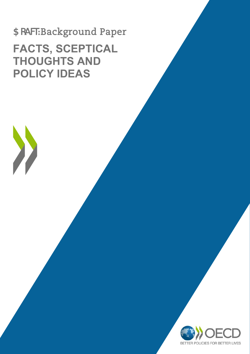# 5 cRWBackground Paper **FACTS, SCEPTICAL THOUGHTS AND POLICY IDEAS**

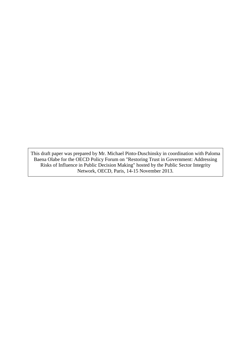This draft paper was prepared by Mr. Michael Pinto-Duschinsky in coordination with Paloma Baena Olabe for the OECD Policy Forum on "Restoring Trust in Government: Addressing Risks of Influence in Public Decision Making" hosted by the Public Sector Integrity Network, OECD, Paris, 14-15 November 2013.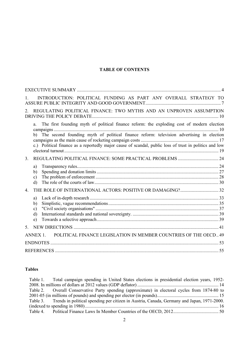# **TABLE OF CONTENTS**

| INTRODUCTION: POLITICAL FUNDING AS PART ANY OVERALL STRATEGY TO<br>$\mathbf{1}$                                                                                                                                                                                                                           |    |
|-----------------------------------------------------------------------------------------------------------------------------------------------------------------------------------------------------------------------------------------------------------------------------------------------------------|----|
| REGULATING POLITICAL FINANCE: TWO MYTHS AND AN UNPROVEN ASSUMPTION<br>2 <sup>1</sup>                                                                                                                                                                                                                      |    |
| The first founding myth of political finance reform: the exploding cost of modern election<br>a.<br>b) The second founding myth of political finance reform: television advertising in election<br>c.) Political finance as a reportedly major cause of scandal, public loss of trust in politics and low | 10 |
| 3 <sub>1</sub>                                                                                                                                                                                                                                                                                            |    |
| a)<br>b)<br>$\mathbf{c})$<br>d)                                                                                                                                                                                                                                                                           |    |
| $\overline{4}$ .                                                                                                                                                                                                                                                                                          |    |
| a)<br>$\mathbf{b}$<br>c)<br>$\rm d$<br>e)                                                                                                                                                                                                                                                                 |    |
| 5.                                                                                                                                                                                                                                                                                                        |    |
| POLITICAL FINANCE LEGISLATION IN MEMBER COUNTRIES OF THE OECD 49<br>ANNEX 1                                                                                                                                                                                                                               |    |
|                                                                                                                                                                                                                                                                                                           |    |
|                                                                                                                                                                                                                                                                                                           |    |

# **Tables**

| Table 1. Total campaign spending in United States elections in presidential election years, 1952-   |  |
|-----------------------------------------------------------------------------------------------------|--|
|                                                                                                     |  |
| Table 2. Overall Conservative Party spending (approximate) in electoral cycles from 1874-80 to      |  |
|                                                                                                     |  |
| Table 3. Trends in political spending per citizen in Austria, Canada, Germany and Japan, 1971-2000. |  |
|                                                                                                     |  |
|                                                                                                     |  |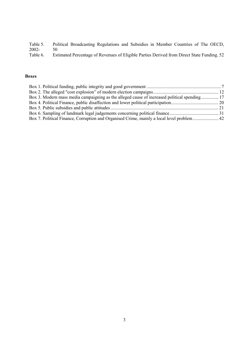Table 5. Political Broadcasting Regulations and Subsidies in Member Countries of The OECD, 2002-<br>Table 6.

Estimated Percentage of Revenues of Eligible Parties Derived from Direct State Funding. 52

# **Boxes**

| Box 3. Modern mass media campaigning as the alleged cause of increased political spending 17 |  |
|----------------------------------------------------------------------------------------------|--|
|                                                                                              |  |
|                                                                                              |  |
|                                                                                              |  |
|                                                                                              |  |
|                                                                                              |  |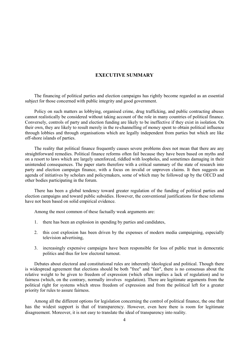#### **EXECUTIVE SUMMARY**

The financing of political parties and election campaigns has rightly become regarded as an essential subject for those concerned with public integrity and good government.

Policy on such matters as lobbying, organised crime, drug trafficking, and public contracting abuses cannot realistically be considered without taking account of the role in many countries of political finance. Conversely, controls of party and election funding are likely to be ineffective if they exist in isolation. On their own, they are likely to result merely in the re-channelling of money spent to obtain political influence through lobbies and through organisations which are legally independent from parties but which are like off-shore islands of parties.

The reality that political finance frequently causes severe problems does not mean that there are any straightforward remedies. Political finance reforms often fail because they have been based on myths and on a resort to laws which are largely unenforced, riddled with loopholes, and sometimes damaging in their unintended consequences. The paper starts therefore with a critical summary of the state of research into party and election campaign finance, with a focus on invalid or unproven claims. It then suggests an agenda of initiatives by scholars and policymakers, some of which may be followed up by the OECD and other bodies participating in the forum.

There has been a global tendency toward greater regulation of the funding of political parties and election campaigns and toward public subsidies. However, the conventional justifications for these reforms have not been based on solid empirical evidence.

Among the most common of these factually weak arguments are:

- 1. there has been an explosion in spending by parties and candidates,
- 2. this cost explosion has been driven by the expenses of modern media campaigning, especially television advertising,
- 3. increasingly expensive campaigns have been responsible for loss of public trust in democratic politics and thus for low electoral turnout.

Debates about electoral and constitutional rules are inherently ideological and political. Though there is widespread agreement that elections should be both "free" and "fair", there is no consensus about the relative weight to be given to freedom of expression (which often implies a lack of regulation) and to fairness (which, on the contrary, normally involves regulation). There are legitimate arguments from the political right for systems which stress freedom of expression and from the political left for a greater priority for rules to assure fairness.

Among all the different options for legislation concerning the control of political finance, the one that has the widest support is that of transparency. However, even here there is room for legitimate disagreement. Moreover, it is not easy to translate the ideal of transparency into reality.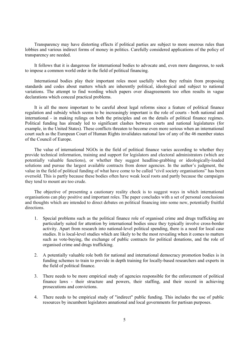Transparency may have distorting effects if political parties are subject to more onerous rules than lobbies and various indirect forms of money in politics. Carefully considered applications of the policy of transparency are needed.

It follows that it is dangerous for international bodies to advocate and, even more dangerous, to seek to impose a common world order in the field of political financing.

International bodies play their important roles most usefully when they refrain from proposing standards and codes about matters which are inherently political, ideological and subject to national variations. The attempt to find wording which papers over disagreements too often results in vague declarations which conceal practical problems.

It is all the more important to be careful about legal reforms since a feature of political finance regulation and subsidy which seems to be increasingly important is the role of courts - both national and international - in making rulings on both the principles and on the details of political finance regimes. Political funding has already led to significant clashes between courts and national legislatures (for example, in the United States). These conflicts threaten to become even more serious when an international court such as the European Court of Human Rights invalidates national law of any of the 46 member states of the Council of Europe.

The value of international NGOs in the field of political finance varies according to whether they provide technical information, training and support for legislators and electoral administrators (which are potentially valuable functions), or whether they suggest headline-grabbing or ideologically-loaded solutions and pursue the largest available contracts from donor agencies. In the author's judgment, the value in the field of political funding of what have come to be called "civil society organisations" has been oversold. This is partly because these bodies often have weak local roots and partly because the campaigns they tend to mount are too crude.

The objective of presenting a cautionary reality check is to suggest ways in which international organisations can play positive and important roles. The paper concludes with a set of personal conclusions and thoughts which are intended to direct debates on political financing into some new, potentially fruitful directions.

- 1. Special problems such as the political finance role of organised crime and drugs trafficking are particularly suited for attention by international bodies since they typically involve cross-border activity. Apart from research into national-level political spending, there is a need for local case studies. It is local-level studies which are likely to be the most revealing when it comes to matters such as vote-buying, the exchange of public contracts for political donations, and the role of organised crime and drugs trafficking.
- 2. A potentially valuable role both for national and international democracy promotion bodies is in funding schemes to train to provide in depth training for locally-based researchers and experts in the field of political finance.
- 3. There needs to be more empirical study of agencies responsible for the enforcement of political finance laws - their structure and powers, their staffing, and their record in achieving prosecutions and convictions.
- 4. There needs to be empirical study of "indirect" public funding. This includes the use of public resources by incumbent legislators annational and local governments for partisan purposes.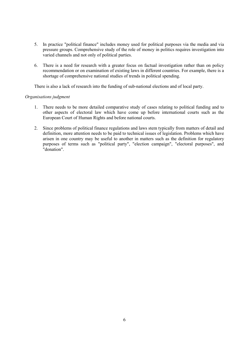- 5. In practice "political finance" includes money used for political purposes via the media and via pressure groups. Comprehensive study of the role of money in politics requires investigation into varied channels and not only of political parties.
- 6. There is a need for research with a greater focus on factual investigation rather than on policy recommendation or on examination of existing laws in different countries. For example, there is a shortage of comprehensive national studies of trends in political spending.

There is also a lack of research into the funding of sub-national elections and of local party.

#### *Organisations judgment*

- 1. There needs to be more detailed comparative study of cases relating to political funding and to other aspects of electoral law which have come up before international courts such as the European Court of Human Rights and before national courts.
- 2. Since problems of political finance regulations and laws stem typically from matters of detail and definition, more attention needs to be paid to technical issues of legislation. Problems which have arisen in one country may be useful to another in matters such as the definition for regulatory purposes of terms such as "political party", "election campaign", "electoral purposes", and "donation".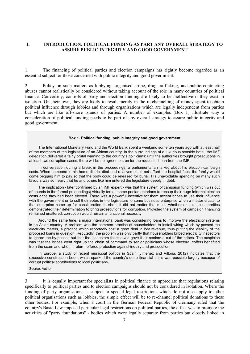#### **1. INTRODUCTION: POLITICAL FUNDING AS PART ANY OVERALL STRATEGY TO ASSURE PUBLIC INTEGRITY AND GOOD GOVERNMENT**

1. The financing of political parties and election campaigns has rightly become regarded as an essential subject for those concerned with public integrity and good government.

2. Policy on such matters as lobbying, organised crime, drug trafficking, and public contracting abuses cannot realistically be considered without taking account of the role in many countries of political finance. Conversely, controls of party and election funding are likely to be ineffective if they exist in isolation. On their own, they are likely to result merely in the re-channelling of money spent to obtain political influence through lobbies and through organisations which are legally independent from parties but which are like off-shore islands of parties. A number of examples (Box 1) illustrate why a consideration of political funding needs to be part of any overall strategy to assure public integrity and good government.

#### **Box 1. Political funding, public integrity and good government**

The International Monetary Fund and the World Bank spent a weekend some ten years ago with at least half of the members of the legislature of an African country. In the surroundings of a luxurious seaside hotel, the IMF delegation delivered a fairly brutal warning to the country's politicians: until the authorities brought prosecutions in at least two corruption cases, there will be no agreement on for the requested loan from the IMF.

In conversation during a break in the proceedings, a parliamentarian talked about his election campaign costs. When someone in his home district died and relatives could not afford the hospital fees, the family would come begging him to pay so that the body could be released for burial. His unavoidable spending on many such favours was so heavy that he and others like him entered the legislature deeply in debt.

The implication - later confirmed by an IMF expert - was that the system of campaign funding (which was out of bounds in the formal proceedings) virtually forced some parliamentarians to recoup their huge informal election costs once they had been elected. There was a powerful incentive for them accept bribes to use their influence with the government or to sell their votes in the legislature to some business enterprise when a matter crucial to that enterprise came up for consideration. In short, it did not matter that much whether or not the authorities demonstrated their determination to bring prosecutions for corruption. Provided the system of campaign financing remained unaltered, corruption would remain a functional necessity.

Around the same time, a major international bank was considering loans to improve the electricity systems in an Asian country. A problem was the common practice of householders to install wiring which by-passed the electricity meters, a practice which reportedly cost a great deal in lost revenue, thus putting the viability of the proposed loans in question. Reputedly, the problem was only partly that householders bribed electricity inspectors to ignore the by-passes but that the inspectors themselves gave their seniors a cut of the bribes. The suspicion was that the bribes went right up the chain of command to senior politicians whose electoral coffers benefited from the scam and who, in return, offered protection against inquiry and prosecution.

In Europe, a study of recent municipal politics in Spain (Jimenez and Villoria, 2012) indicates that the excessive construction boom which sparked the country's deep financial crisis was possible largely because of corrupt political contributions to local politicians.

Source: Author

3. It is equally important for specialists in political finance to appreciate that regulations relating specifically to political parties and to election campaigns should not be considered in isolation. Where the funding of party organisations is subject to special legal restrictions which do not also apply to other political organisations such as lobbies, the simple effect will be to re-channel political donations to these other bodies. For example, when a court in the German Federal Republic of Germany ruled that the country's Basic Law imposed particular legal restrictions on political parties, the effect was to promote the activities of "party foundations" - bodies which were legally separate from parties but closely linked in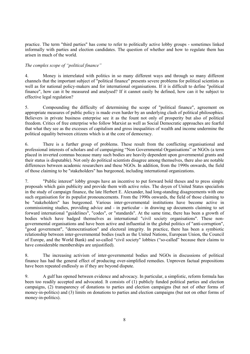practice. The term "third parties" has come to refer to politically active lobby groups - sometimes linked informally with parties and election candidates. The question of whether and how to regulate them has arisen in much of the world.

# *The complex scope of "political finance"*

4. Money is interrelated with politics in so many different ways and through so many different channels that the important subject of "political finance" presents severe problems for political scientists as well as for national policy-makers and for international organisations. If it is difficult to define "political finance", how can it be measured and analysed? If it cannot easily be defined, how can it be subject to effective legal regulation?

5. Compounding the difficulty of determining the scope of "political finance", agreement on appropriate measures of public policy is made even harder by an underlying clash of political philosophies. Believers in private business enterprise see it as the fount not only of prosperity but also of political freedom. Critics of free enterprise who follow Marxist as well as Social Democratic approaches are fearful that what they see as the excesses of capitalism and gross inequalities of wealth and income undermine the political equality between citizens which is at the core of democracy.

6. There is a further group of problems. These result from the conflicting organisational and professional interests of scholars and of campaigning "Non Governmental Organisations" or NGOs (a term placed in inverted commas because many such bodies are heavily dependent upon governmental grants and their status is disputable). Not only do political scientists disagree among themselves, there also are notable differences between academic researchers and these NGOs. In addition, from the 1990s onwards, the field of those claiming to be "stakeholders" has burgeoned, including international organizations.

7. "Public interest" lobby groups have an incentive to put forward bold theses and to press simple proposals which gain publicity and provide them with active roles. The doyen of United States specialists in the study of campaign finance, the late Herbert E. Alexander, had long-standing disagreements with one such organisation for its populist pronouncements. From the 1990s onwards, the field of those claiming to be "stakeholders" has burgeoned. Various inter-governmental institutions have become active in commissioning studies, providing advice and - in particular - in drawing up documents claiming to set forward international "guidelines", "codes", or "standards". At the same time, there has been a growth of bodies which have badged themselves as international "civil society organisations". These nongovernmental organisations and have been active and influential in the global politics of "anti-corruption", "good government", "democratisation" and electoral integrity. In practice, there has been a symbiotic relationship between inter-governmental bodies (such as the United Nations, European Union, the Council of Europe, and the World Bank) and so-called "civil society" lobbies ("so-called" because their claims to have considerable memberships are unjustified).

8. The increasing activism of inter-governmental bodies and NGOs in discussions of political finance has had the general effect of producing over-simplified remedies. Unproven factual propositions have been repeated endlessly as if they are beyond dispute.

9. A gulf has opened between evidence and advocacy. In particular, a simplistic, reform formula has been too readily accepted and advocated. It consists of (1) publicly funded political parties and election campaigns, (2) transparency of donations to parties and election campaigns (but not of other forms of money-in-politics) and (3) limits on donations to parties and election campaigns (but not on other forms of money-in-politics).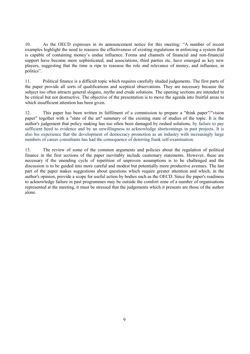10. As the OECD expresses in its announcement notice for this meeting: "A number of recent examples highlight the need to reassess the effectiveness of existing regulations in enforcing a system that is capable of containing money's undue influence. Forms and channels of financial and non-financial support have become more sophisticated; and associations, third parties etc. have emerged as key new players, suggesting that the time is ripe to reassess the role and relevance of money, and influence, in politics".

11. Political finance is a difficult topic which requires carefully shaded judgements. The first parts of the paper provide all sorts of qualifications and sceptical observations. They are necessary because the subject too often attracts general slogans, myths and crude solutions. The opening sections are intended to be critical but not destructive. The objective of the presentation is to move the agenda into fruitful areas to which insufficient attention has been given.

12. This paper has been written in fulfilment of a commission to prepare a "think paper"/"vision paper" together with a "state of the art" summary of the existing state of studies of the topic. It is the author's judgement that policy making has too often been damaged by rushed solutions, by failure to pay sufficient heed to evidence and by an unwillingness to acknowledge shortcomings in past projects. It is also his experience that the development of democracy promotion as an industry with increasingly large numbers of career consultants has had the consequence of deterring frank self-examination.

13. The review of some of the common arguments and policies about the regulation of political finance in the first sections of the paper inevitably include cautionary statements. However, these are necessary if the unending cycle of repetition of unproven assumptions is to be challenged and the discussion is to be guided into more careful and modest but potentially more productive avenues. The last part of the paper makes suggestions about questions which require greater attention and which, in the author's opinion, provide a scope for useful action by bodies such as the OECD. Since the paper's readiness to acknowledge failure in past programmes may be outside the comfort zone of a number of organisations represented at the meeting, it must be stressed that the judgements which it presents are those of the author alone.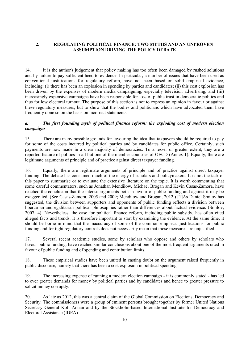# **2. REGULATING POLITICAL FINANCE: TWO MYTHS AND AN UNPROVEN ASSUMPTION DRIVING THE POLICY DEBATE**

14. It is the author's judgement that policy making has too often been damaged by rushed solutions and by failure to pay sufficient heed to evidence. In particular, a number of issues that have been used as conventional justifications for regulatory reform, have not been based on solid empirical evidence, including: (i) there has been an explosion in spending by parties and candidates; (ii) this cost explosion has been driven by the expenses of modern media campaigning, especially television advertising; and (iii) increasingly expensive campaigns have been responsible for loss of public trust in democratic politics and thus for low electoral turnout. The purpose of this section is not to express an opinion in favour or against these regulatory measures, but to show that the bodies and politicians which have advocated them have frequently done so on the basis on incorrect statements.

# *a. The first founding myth of political finance reform: the exploding cost of modern election campaigns*

15. There are many possible grounds for favouring the idea that taxpayers should be required to pay for some of the costs incurred by political parties and by candidates for public office. Certainly, such payments are now made in a clear majority of democracies. To a lesser or greater extent, they are a reported feature of politics in all but one of the member countries of OECD (Annex 1). Equally, there are legitimate arguments of principle and of practice against direct taxpayer funding.

16. Equally, there are legitimate arguments of principle and of practice against direct taxpayer funding. The debate has consumed much of the energy of scholars and policymakers. It is not the task of this paper to summarise or to evaluate the extensive literature on the topic. It is worth commenting that some careful commentators, such as Jonathan Mendilow, Michael Brogan and Kevin Casas-Zamora, have reached the conclusion that the intense arguments both in favour of public funding and against it may be exaggerated. (See Casas-Zamora, 2005 and 2009; Mendilow and Brogan, 2012.) [1]As Daniel Smilov has suggested, the division between supporters and opponents of public funding reflects a division between libertarian and egalitarian political philosophies rather than differences about factual evidence. (Smilov, 2007, 4). Nevertheless, the case for political finance reform, including public subsidy, has often cited alleged facts and trends. It is therefore important to start by examining the evidence. At the same time, it should be borne in mind that the inaccuracy of some of the common empirical justifications for public funding and for tight regulatory controls does not necessarily mean that those measures are unjustified.

17. Several recent academic studies, some by scholars who oppose and others by scholars who favour public funding, have reached similar conclusions about one of the most frequent arguments cited in favour of public funding and of spending and contribution limits.

18. These empirical studies have been united in casting doubt on the argument raised frequently in public discourse, namely that there has been a cost explosion in political spending.

19. The increasing expense of running a modern election campaign - it is commonly stated - has led to ever greater demands for money by political parties and by candidates and hence to greater pressure to solicit money corruptly.

20. As late as 2012, this was a central claim of the Global Commission on Elections, Democracy and Security. The commissioners were a group of eminent persons brought together by former United Nations Secretary General Kofi Annan and by the Stockholm-based International Institute for Democracy and Electoral Assistance (IDEA).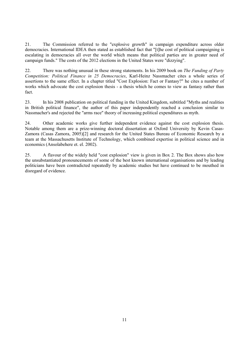21. The Commission referred to the "explosive growth" in campaign expenditure across older democracies. International IDEA then stated as established fact that "[t]he cost of political campaigning is escalating in democracies all over the world which means that political parties are in greater need of campaign funds." The costs of the 2012 elections in the United States were "dizzying".

22. There was nothing unusual in these strong statements. In his 2009 book on *The Funding of Party Competition: Political Finance in 25 Democracies*, Karl-Heinz Nassmacher cites a whole series of assertions to the same effect. In a chapter titled "Cost Explosion: Fact or Fantasy?" he cites a number of works which advocate the cost explosion thesis - a thesis which he comes to view as fantasy rather than fact.

23. In his 2008 publication on political funding in the United Kingdom, subtitled "Myths and realities in British political finance", the author of this paper independently reached a conclusion similar to Nassmacher's and rejected the "arms race" theory of increasing political expenditures as myth.

24. Other academic works give further independent evidence against the cost explosion thesis. Notable among them are a prize-winning doctoral dissertation at Oxford University by Kevin Casas-Zamora (Casas Zamora, 2005)[2] and research for the United States Bureau of Economic Research by a team at the Massachusetts Institute of Technology, which combined expertise in political science and in economics (Ansolabehere et. el. 2002).

25. A flavour of the widely held "cost explosion" view is given in Box 2. The Box shows also how the unsubstantiated pronouncements of some of the best known international organisations and by leading politicians have been contradicted repeatedly by academic studies but have continued to be mouthed in disregard of evidence.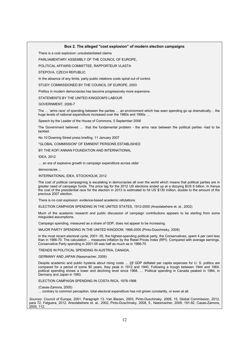#### **Box 2. The alleged "cost explosion" of modern election campaigns**

There is a cost explosion: unsubstantiated claims

PARLIAMENTARY ASSEMBLY OF THE COUNCIL OF EUROPE,

POLITICAL AFFAIRS COMMITTEE, RAPPORTEUR VLASTA

STEPOVA, CZECH REPUBLIC

In the absence of any limits, party public relations costs spiral out of control.

STUDY COMMISSIONED BY THE COUNCIL OF EUROPE, 2003

Politics in modern democracies has become progressively more expensive.

STATEMENTS BY THE UNITED KINGDOM'S LABOUR

GOVERNMENT, 2006-7

The ... 'arms race' of spending between the parties ... an environment which has seen spending go up dramatically... the huge levels of national expenditure increased over the 1980s and 1990s ...

Speech by the Leader of the House of Commons, 5 September 2006

The Government believed ... that the fundamental problem - the arms race between the political parties -had to be tackled.

No 10 Downing Street press briefing, 11 January 2007

"GLOBAL COMMISSION" OF EMINENT PERSONS ESTABLISHED

BY THE KOFI ANNAN FOUNDATION AND INTERNATIONAL

IDEA, 2012

... an era of explosive growth in campaign expenditure across older

democracies ...

INTERNATIONAL IDEA, STOCKHOLM, 2012

The cost of political campaigning is escalating in democracies all over the world which means that political parties are in greater need of campaign funds. The price tag for the 2012 US elections ended up at a dizzying \$US 6 billion. In Kenya the cost of the presidential race for the election in 2013 is estimated to hit US \$130 million, double to the amount of the previous 2007 election.

There is no cost explosion: evidence-based academic refutations

ELECTION CAMPAIGN SPENDING IN THE UNITED STATES, 1912-2000 (Ansolabehere et. al., 2002)

Much of the academic research and public discussion of campaign contributions appears to be starting from some misguided assumptions.

Campaign spending, measured as a share of GDP, does not appear to be increasing.

MAJOR PARTY SPENDING IN THE UNITED KINGDOM, 1966-2005 (Pinto-Duschinsky, 2008)

In the most recent electoral cycle, 2001- 05, the highest-spending political party, the Conservatives, spent 4 per cent less than in 1966-70. The calculation ... measures inflation by the Retail Prices Index (RPI). Compared with average earnings, Conservative Party spending in 2001-05 was half as much as in 1966-70

TRENDS IN POLITICAL SPENDING IN AUSTRIA, CANADA,

GERMANY AND JAPAN (Nassmacher, 2009)

Despite academic and public hysteria about rising costs ... [i]f GDP deflated per capita expenses for U. S. politics are compared for a period of some 90 years, they peak in 1912 and 1940. Following a trough between 1944 and 1964, political spending shows a lower and declining level since 1968. ... Political spending in Canada peaked in 1984, in Germany and Japan in 1983.

ELECTION CAMPAIGN SPENDING IN COSTA RICA, 1978-1998

(Casas-Zamora, 2005)

... contrary to common perception, total electoral expenditure has not grown constantly, or even at all.

*Sources*: Council of Europe, 2001, Paragraph 13, Van Biezen, 2003, Pinto-Duschinsky, 2008, 15, Global Commission, 2012, para 72, Falguera, 2012, Ansolabehere et. al., 2002, Pinto-Duschinsky, 2008, 5., Nassmacher, 2009, 191-92, Casas-Zamora, 2005, 112.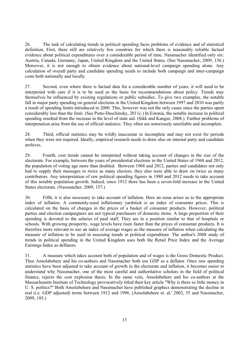26. The task of calculating trends in political spending faces problems of evidence and of statistical definition. First, there still are relatively few countries for which there is reasonably reliable factual evidence about political expenditures over a considerable period of time. Nassmacher identified only six: Austria, Canada, Germany, Japan, United Kingdom and the United States. (See Nassmacher, 2009, 156.) Moreover, it is not enough to obtain evidence about national-level campaign spending alone. Any calculation of overall party and candidate spending needs to include both campaign and inter-campaign costs both nationally and locally.

27. Second, even where there is factual data for a considerable number of years, it will need to be interpreted with care if it is to be used as the basis for recommendations about policy. Trends may themselves be influenced by existing regulations or public subsidies. To give two examples, the notable fall in major party spending on general elections in the United Kingdom between 1997 and 2010 was partly a result of spending limits introduced in 2000. This, however was not the only cause since the parties spent considerably less than the limit. (See Pinto-Duschinsky, 2011c.) In Estonia, the notable increase in political spending resulted from the increase in the level of state aid. (Sikk and Kangur, 2008.). Further problems of interpretation arise from the use of official statistics. They often are notoriously unreliable and incomplete.

28. Third, official statistics may be wildly inaccurate or incomplete and may not exist for periods when they were not required. Ideally, empirical research needs to draw also on internal party and candidate archives.

29. Fourth, cost trends cannot be interpreted without taking account of changes in the size of the electorate. For example, between the years of presidential elections in the United States of 1968 and 2012, the population of voting age more than doubled. Between 1968 and 2012, parties and candidates not only had to supply their messages to twice as many electors, they also were able to draw on twice as many contributors. Any interpretation of raw political spending figures in 1980 and 2012 needs to take account of this notable population growth. Indeed, since 1912 there has been a seven-fold increase in the United States electorate. (Nassmacher, 2009, 157.)

30. Fifth, it is also necessary to take account of inflation. Here an issue arises as to the appropriate index of inflation. A commonly-used inflationary yardstick is an index of consumer prices. This is calculated on the basis of changes in the prices of a basket of consumer products. However, political parties and election campaigners are not typical purchasers of domestic items. A large proportion of their spending is devoted to the salaries of paid staff. They are in a position similar to that of hospitals or schools. With growing prosperity, wage levels have risen faster than the prices of consumer products. It is therefore more relevant to use an index of average wages as the measure of inflation when calculating the measure of inflation to be used in assessing trends in political expenditure. The author's 2008 study of trends in political spending in the United Kingdom uses both the Retail Price Index and the Average Earnings Index as deflators.

31. A measure which takes account both of population and of wages is the Gross Domestic Product. Thus Ansolabehere and his co-authors and Nassmacher both use GDP as a deflator. Once raw spending statistics have been adjusted to take account of growth in the electorate and inflation, it becomes easier to understand why Nassmacher, one of the most careful and authoritative scholars in the field of political finance, rejects the cost explosion thesis. In the same vein, Ansolabehere and his co-authors at the Massachusetts Institute of Technology provocatively titled their key article "Why is there so little money in U. S. politics?" Both Ansolebehere and Nassmacher have published graphics demonstrating the decline in real (i.e. GDP adjusted) terms between 1912 and 1996. (Ansolabehere et. al.' 2002, 55 and Nassmacher, 2009, 185.)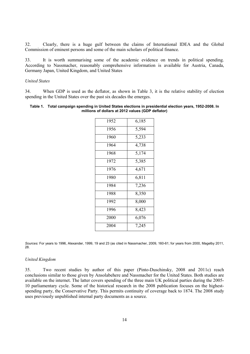32. Clearly, there is a huge gulf between the claims of International IDEA and the Global Commission of eminent persons and some of the main scholars of political finance.

33. It is worth summarising some of the academic evidence on trends in political spending. According to Nassmacher, reasonably comprehensive information is available for Austria, Canada, Germany Japan, United Kingdom, and United States

#### *United States*

34. When GDP is used as the deflator, as shown in Table 3, it is the relative stability of election spending in the United States over the past six decades the emerges.

#### **Table 1. Total campaign spending in United States elections in presidential election years, 1952-2008. In millions of dollars at 2012 values (GDP deflator)**

| 1952 | 6,185 |
|------|-------|
| 1956 | 5,594 |
| 1960 | 5,233 |
| 1964 | 4,738 |
| 1968 | 5,174 |
| 1972 | 5,385 |
| 1976 | 4,671 |
| 1980 | 6,811 |
| 1984 | 7,236 |
| 1988 | 8,350 |
| 1992 | 8,000 |
| 1996 | 8,423 |
| 2000 | 6,076 |
| 2004 | 7,245 |

*Sources:* For years to 1996, Alexander, 1999, 19 and 23 (as cited in Nassmacher, 2009, 160-61; for years from 2000, Magelby 2011, 28.

#### *United Kingdom*

35. Two recent studies by author of this paper (Pinto-Duschinsky, 2008 and 2011c) reach conclusions similar to those given by Ansolabehere and Nassmacher for the United States. Both studies are available on the internet. The latter covers spending of the three main UK political parties during the 2005- 10 parliamentary cycle. Some of the historical research in the 2008 publication focuses on the highestspending party, the Conservative Party. This permits continuity of coverage back to 1874. The 2008 study uses previously unpublished internal party documents as a source.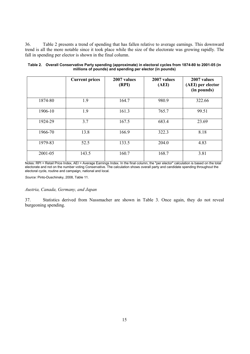36. Table 2 presents a trend of spending that has fallen relative to average earnings. This downward trend is all the more notable since it took place while the size of the electorate was growing rapidly. The fall in spending per elector is shown in the final column.

|         | <b>Current prices</b> | 2007 values<br>(RPI) | 2007 values<br>(AEI) | 2007 values<br>(AEI) per elector<br>(in pounds) |
|---------|-----------------------|----------------------|----------------------|-------------------------------------------------|
| 1874-80 | 1.9                   | 164.7                | 980.9                | 322.66                                          |
| 1906-10 | 1.9                   | 161.3                | 765.7                | 99.51                                           |
| 1924-29 | 3.7                   | 167.5                | 683.4                | 23.69                                           |
| 1966-70 | 13.8                  | 166.9                | 322.3                | 8.18                                            |
| 1979-83 | 52.5                  | 133.5                | 204.0                | 4.83                                            |
| 2001-05 | 143.5                 | 160.7                | 168.7                | 3.81                                            |

| Table 2. Overall Conservative Party spending (approximate) in electoral cycles from 1874-80 to 2001-05 (in |
|------------------------------------------------------------------------------------------------------------|
| millions of pounds) and spending per elector (in pounds)                                                   |

Notes: RPI = Retail Price Index, AEI = Average Earnings Index. In the final column, the "per elector" calculation is based on the total electorate and not on the number voting Conservative. The calculation shows overall party and candidate spending throughout the electoral cycle, routine and campaign, national and local.

*Source:* Pinto-Duschinsky, 2008, Table 11.

#### *Austria, Canada, Germany, and Japan*

37. Statistics derived from Nassmacher are shown in Table 3. Once again, they do not reveal burgeoning spending.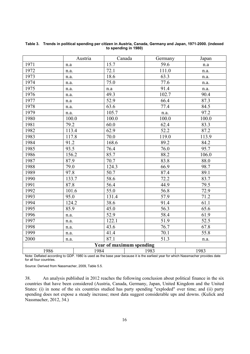|                                 |       | Austria | Canada | Germany           | Japan              |
|---------------------------------|-------|---------|--------|-------------------|--------------------|
| 1971                            | n.a   |         | 15.7   | 59.6              | n.a                |
| 1972                            | n.a.  |         | 72.1   | 111.0             | n.a.               |
| 1973                            | n.a.  |         | 18.6   | 63.3              | n.a.               |
| 1974                            | n.a.  |         | 75.0   | 77.6              | n.a.               |
| 1975                            | n.a.  |         | n.a    | 91.4              | n.a.               |
| 1976                            | n.a.  |         | 49.3   | 102.7             | 90.4               |
| 1977                            | n.a   |         | 52.9   | 66.4              | 87.3               |
| 1978                            | n.a.  |         | 63.6   | 77.4              | 84.5               |
| 1979                            | n.a.  |         | 105.7  | n.a.              | 97.2               |
| 1980                            | 100.0 |         | 100.0  | 100.0             | 100.0              |
| 1981                            | 79.2  |         | 60.0   | 62.4              | 83.3               |
| 1982                            | 113.4 |         | 62.9   | 52.2              | 87.2               |
| 1983                            | 117.8 |         | 70.0   | 119.0             | 113.9              |
| 1984                            | 91.2  |         | 168.6  | 89.2              | 84.2               |
| 1985                            | 93.5  |         | 76.4   | 76.0              | 95.7               |
| 1986                            | 156.2 |         | 85.7   | 88.2              | $\overline{106.0}$ |
| 1987                            | 87.9  |         | 70.7   | $\overline{83.8}$ | 88.0               |
| 1988                            | 79.0  |         | 124.3  | 66.9              | 98.7               |
| 1989                            | 97.8  |         | 50.7   | 87.4              | 89.1               |
| 1990                            | 133.7 |         | 58.6   | 72.2              | 83.7               |
| 1991                            | 87.8  |         | 56.4   | 44.9              | 79.5               |
| 1992                            | 101.6 |         | 55.0   | 56.8              | 72.9               |
| 1993                            | 95.0  |         | 131.4  | 57.9              | 71.2               |
| 1994                            | 124.2 |         | 38.6   | 91.4              | 61.1               |
| 1995                            | 85.9  |         | 45.0   | 56.3              | 65.6               |
| 1996                            | n.a.  |         | 52.9   | 58.4              | 61.9               |
| 1997                            | n.a.  |         | 122.1  | 51.9              | 52.5               |
| 1998                            | n.a.  |         | 43.6   | 76.7              | 67.8               |
| 1999                            | n.a.  |         | 41.4   | 70.1              | 55.8               |
| 2000                            | n.a.  |         | 87.1   | 51.3              | n.a.               |
| <b>Year of maximum spending</b> |       |         |        |                   |                    |
| 1986                            |       | 1984    |        | 1983              | 1983               |

#### **Table 3. Trends in political spending per citizen in Austria, Canada, Germany and Japan, 1971-2000. (indexed to spending in 1980)**

Note: Deflated according to GDP. 1980 is used as the base year because it is the earliest year for which Nassmacher provides date for all four countries.

Source: Derived from Nassmacher, 2009, Table 5.5.

38. An analysis published in 2012 reaches the following conclusion about political finance in the six countries that have been considered (Austria, Canada, Germany, Japan, United Kingdom and the United States: (i) in none of the six countries studied has party spending "exploded" over time; and (ii) party spending does not expose a steady increase; most data suggest considerable ups and downs. (Kulick and Nassmacher, 2012, 34.)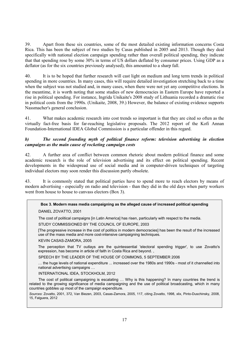39. Apart from these six countries, some of the most detailed existing information concerns Costa Rica. This has been the subject of two studies by Casas published in 2005 and 2013. Though they deal specifically with national election campaign spending rather than overall political spending, they indicate that that spending rose by some 30% in terms of US dollars deflated by consumer prices. Using GDP as a deflator (as for the six countries previously analysed), this amounted to a sharp fall.

40. It is to be hoped that further research will cast light on medium and long term trends in political spending in more countries. In many cases, this will require detailed investigation stretching back to a time when the subject was not studied and, in many cases, when there were not yet any competitive elections. In the meantime, it is worth noting that some studies of new democracies in Eastern Europe have reported a rise in political spending. For instance, Ingrida Unikaite's 2008 study of Lithuania recorded a dramatic rise in political costs from the 1990s. (Unikaite, 2008, 39.) However, the balance of existing evidence supports Nassmacher's general conclusion.

41. What makes academic research into cost trends so important is that they are cited so often as the virtually fact-free basis for far-reaching legislative proposals. The 2012 report of the Kofi Annan Foundation-International IDEA Global Commission is a particular offender in this regard.

### *b) The second founding myth of political finance reform: television advertising in election campaigns as the main cause of rocketing campaign costs*

42. A further area of conflict between common rhetoric about modern political finance and some academic research is the role of television advertising and its effect on political spending. Recent developments in the widespread use of social media and in computer-driven techniques of targeting individual electors may soon render this discussion partly obsolete.

43. It is commonly stated that political parties have to spend more to reach electors by means of modern advertising - especially on radio and television - than they did in the old days when party workers went from house to house to canvass electors (Box 3).

# **Box 3. Modern mass media campaigning as the alleged cause of increased political spending**

#### DANIEL ZOVATTO, 2001

The cost of political campaigns [in Latin America] has risen, particularly with respect to the media.

STUDY COMMISSIONED BY THE COUNCIL OF EUROPE, 2003

[The progressive increase in the cost of politics in modern democracies] has been the result of the increased use of the mass media and more cost-intensive campaigning techniques.

#### KEVIN CASAS-ZAMORA, 2005

The perception that TV outlays are the quintessential 'electoral spending trigger', to use Zovatto's expression, has become in article of faith in Costa Rica and beyond. ,

SPEECH BY THE LEADER OF THE HOUSE OF COMMONS, 5 SEPTEMBER 2006

... the huge levels of national expenditure ... increased over the 1980s and 1990s - most of it channelled into national advertising campaigns ...

#### INTERNATIONAL IDEA, STOCKHOLM, 2012

The cost of political campaigning is escalating ... Why is this happening? In many countries the trend is related to the growing significance of media campaigning and the use of political broadcasting, which in many countries gobbles up most of the campaign expenditure.

*Sources*: Zovatto, 2001, 372, Van Biezen, 2003, Casas-Zamora, 2005, 117, citing Zovatto, 1998, xlix, Pinto-Duschinsky, 2008, 15, Falguera, 2012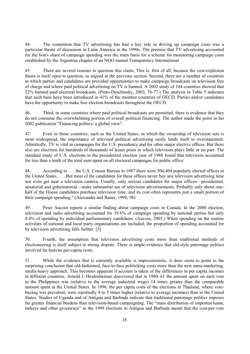44. The contention that TV advertising has had a key role in driving up campaign costs was a particular theme of discussion in Latin America in the 1990s. The premise that TV advertising accounted for the lion's share of campaign spending was the main basis for a scheme for monitoring campaign costs established by the Argentina chapter of an NGO named Transparency International.

45. There are several reasons to question this claim. This is, first of all, because the cost-explosion thesis is itself open to question, as argued in the previous section. Second, there are a number of countries in which parties and candidates are provided opportunities to make campaign broadcasts on television free of charge and where paid political advertising on TV is banned. A 2002 study of 104 countries showed that 22% banned paid electoral broadcasts. (Pinto-Duschinsky, 2002, 76-77.) The analysis in Table 5 indicates that such bans have been introduced in 41% of the member countries of OECD. Parties and/or candidates have the opportunity to make free election broadcasts throughout the OECD.

46. Third, in some countries where paid political broadcasts are permitted, there is evidence that they do not consume the overwhelming portion of overall political financing. The author made the point in his 2002 publication "Financing politics: a global view":

47. Even in those countries, such as the United States, in which the ownership of television sets is most widespread, the importance of televised political advertising easily lends itself to overstatement. Admittedly, TV is vital in campaigns for the U.S. presidency and for other major elective offices. But there also are elections for hundreds of thousands of lesser posts in which television plays little or no part. The standard study of U.S. elections in the presidential election year of 1988 found that television accounted for less than a tenth of the total sum spent on all electoral campaigns for public office:

48. According to . . . the U.S. Census Bureau in 1987 there were 504,404 popularly elected offices in the United States. . . . But most of the candidates for these offices never buy any television advertising time nor even get near a television camera. Usually, only serious candidates for major offices—presidential, senatorial and gubernatorial—make substantial use of television advertisements. Probably only about onehalf of the House candidates purchase television time, and its cost often represents just a small portion of their campaign spending." (Alexander and Bauer, 1998, 98)

49. Peter Aucoin reports a similar finding about campaign costs in Canada. In the 2000 election, television and radio advertising accounted for 39.6% of campaign spending by national parties but only 8.4% of spending by individual parliamentary candidates. (Aucoin, 2005.) When spending on the routine activities of national and local party organisations are included, the proportion of spending accounted for by television advertising falls further. [3]

50. Fourth, the assumption that television advertising costs more than traditional methods of electioneering is itself subject to strong dispute. There is ample evidence that old-style patronage politics involved far heavier per-capita costs.

51. While the evidence that is currently available is impressionistic, it does seem to point to the surprising conclusion that old-fashioned, face-to-face politicking costs more than the new mass-marketing, media-heavy approach. This becomes apparent if account is taken of the differences in per capita incomes in different countries. Arnold J. Heidenheimer discovered that in 1960–61 the amount spent on each vote in the Philippines was (relative to the average industrial wage) 14 times greater than the comparable amount spent in the United States. In 1996, the per capita costs of the elections in Thailand, where votebuying was prevalent, were reportedly 4 to 5 times higher (relative to average incomes) than in the United States. Studies of Uganda and of Antigua and Barbuda indicate that traditional patronage politics imposes far greater financial burdens than television-based campaigning. The "mass distribution of imported hams, turkeys and other giveaways" in the 1999 elections in Antigua and Barbuda meant that the cost-per-vote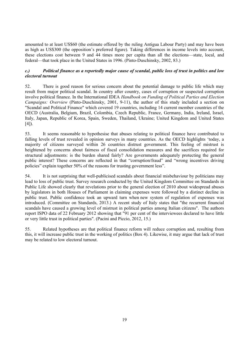amounted to at least US\$60 (the estimate offered by the ruling Antigua Labour Party) and may have been as high as US\$300 (the opposition's preferred figure). Taking differences in income levels into account, these elections cost between 9 and 44 times more per capita than all the elections—state, local, and federal—that took place in the United States in 1996. (Pinto-Duschinsky, 2002, 83.)

#### *c.) Political finance as a reportedly major cause of scandal, public loss of trust in politics and low electoral turnout*

52. There is good reason for serious concern about the potential damage to public life which may result from major political scandal. In country after country, cases of corruption or suspected corruption involve political finance. In the International IDEA *Handbook on Funding of Political Parties and Election Campaigns: Overview* (Pinto-Duschinsky, 2001, 9-11), the author of this study included a section on "Scandal and Political Finance" which covered 19 countries, including 14 current member countries of the OECD (Australia, Belgium, Brazil, Colombia, Czech Republic, France, Germany, India, Ireland, Israel, Italy, Japan, Republic of Korea, Spain, Sweden, Thailand, Ukraine; United Kingdom and United States  $[4]$ ).

53. It seems reasonable to hypothesise that abuses relating to political finance have contributed to falling levels of trust revealed in opinion surveys in many countries. As the OECD highlights 'today, a majority of citizens surveyed within 26 countries distrust government. This feeling of mistrust is heightened by concerns about fairness of fiscal consolidation measures and the sacrifices required for structural adjustments: is the burden shared fairly? Are governments adequately protecting the general public interest? These concerns are reflected in that "corruption/fraud" and "wrong incentives driving policies" explain together 50% of the reasons for trusting government less".

54. It is not surprising that well-publicised scandals about financial misbehaviour by politicians may lead to loss of public trust. Survey research conducted by the United Kingdom Committee on Standards in Public Life showed clearly that revelations prior to the general election of 2010 about widespread abuses by legislators in both Houses of Parliament in claiming expenses were followed by a distinct decline in public trust. Public confidence took an upward turn when new system of regulation of expenses was introduced. (Committee on Standards, 2013.) A recent study of Italy states that "the recurrent financial scandals have caused a growing level of mistrust in political parties among Italian citizens". The authors report ISPO data of 22 February 2012 showing that "91 per cent of the interviewees declared to have little or very little trust in political parties". (Pacini and Piccio, 2012, 15.)

55. Related hypotheses are that political finance reform will reduce corruption and, resulting from this, it will increase public trust in the working of politics (Box 4). Likewise, it may argue that lack of trust may be related to low electoral turnout.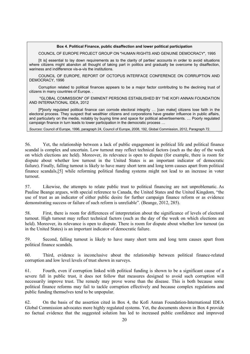#### **Box 4. Political Finance, public disaffection and lower political participation**

COUNCIL OF EUROPE PROJECT GROUP ON "HUMAN RIGHTS AND GENUINE DEMOCRACY", 1995

[It is] essential to lay down requirements as to the clarity of parties' accounts in order to avoid situations where citizens might abandon all thought of taking part in politics and gradually be overcome by disaffection, wariness and indifference vis-a-vis the institutions.

COUNCIL OF EUROPE, REPORT OF OCTOPUS INTERFACE CONFERENCE ON CORRUPTION AND DEMOCRACY, 1996

Corruption related to political finances appears to be a major factor contributing to the declining trust of citizens in many countries of Europe. .

 "GLOBAL COMMISSION" OF EMINENT PERSONS ESTABLISHED BY THE KOFI ANNAN FOUNDATION AND INTERNATIONAL IDEA, 2012

[P]oorly regulated political finance can corrode electoral integrity ... [can make] citizens lose faith in the electoral process. They suspect that wealthier citizens and corporations have greater influence in public affairs, and particularly on the media, notably by buying time and space for political advertisements. ... Poorly regulated campaign finance in turn leads to lower participation in the democratic process ...

*Sources*: Council of Europe, 1996, paragraph 24, Council of Europe, 2008, 192, Global Commission, 2012, Paragraph 72.

56. Yet, the relationship between a lack of public engagement in political life and political finance scandal is complex and uncertain. Low turnout may reflect technical factors (such as the day of the week on which elections are held). Moreover, its relevance is open to dispute (for example, there is room for dispute about whether low turnout in the United States is an important indicator of democratic failure). Finally, falling turnout is likely to have many short term and long term causes apart from political finance scandals,[5] while reforming political funding systems might not lead to an increase in voter turnout.

57. Likewise, the attempts to relate public trust to political financing are not unproblematic. As Pauline Beange argues, with special reference to Canada, the United States and the United Kingdom, "the use of trust as an indicator of either public desire for further campaign finance reform or as evidence demonstrating success or failure of such reform is unreliable". (Beange, 2012, 285).

58. First, there is room for differences of interpretation about the significance of levels of electoral turnout. High turnout may reflect technical factors (such as the day of the week on which elections are held). Moreover, its relevance is open to dispute. There is room for dispute about whether low turnout (as in the United States) is an important indicator of democratic failure.

59. Second, falling turnout is likely to have many short term and long term causes apart from political finance scandals.

60. Third, evidence is inconclusive about the relationship between political finance-related corruption and low level levels of trust shown in surveys.

61. Fourth, even if corruption linked with political funding is shown to be a significant cause of a severe fall in public trust, it does not follow that measures designed to avoid such corruption will necessarily improve trust. The remedy may prove worse than the disease. This is both because some political finance reforms may fail to tackle corruption effectively and because complex regulations and public funding themselves tend to be unpopular.

62. On the basis of the assertion cited in Box 4, the Kofi Annan Foundation-International IDEA Global Commission advocates more highly regulated systems. Yet, the documents shown in Box 4 provide no factual evidence that the suggested solution has led to increased public confidence and improved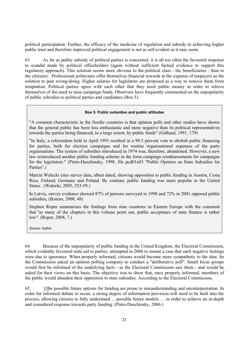political participation. Further, the efficacy of the medicine of regulation and subsidy in achieving higher public trust and therefore improved political engagement is not as self-evident as it may seem.

63. As far as public subsidy of political parties is concerned, it is all too often the favoured response to scandal made by political officeholders (again without sufficient factual evidence to support this regulatory approach). This solution seems more obvious to the political class - the beneficiaries - than to the citizenry. Professional politicians offer themselves financial rewards at the expense of taxpayers as the solution to past wrong-doing. Higher salaries for legislators are proposed as a way to remove them from temptation. Political parties agree with each other that they need public money in order to relieve themselves of the need to raise campaign funds. Observers have frequently commented on the unpopularity of public subsidies to political parties and candidates (Box 5).

#### **Box 5. Public subsidies and public attitudes**

"A common characteristic in the Nordic countries is that opinion polls and other studies have shown that the general public has been less enthusiastic and more negative than its political representatives towards the parties being financed, to a large extent, by public funds" (Gidlund, 1991, 179)

"In Italy, a referendum held in April 1993 resulted in a 90.3 percent vote to abolish public financing for parties, both for election campaigns and for routine organisational expenses of the party organisations. The system of subsidies introduced in 1974 was, therefore, abandoned. However, a new law reintroduced another public funding scheme in the form campaign reimbursements for campaigns for the legislature." (Pinto-Duschinsky, 1998, file pcd01a03 "Public Opinion on State Subsidies for Parties".)

Marcin Walecki cites survey data, albeit dated, showing opposition to public funding in Austria, Costa Rica, Finland, Germany and Poland. By contrast, public funding was more popular in the United States. (Walecki, 2005, 253-59.)

In Latvia, survey evidence showed 87% of persons surveyed in 1998 and 72% in 2001 opposed public subsidies, (Ikstens, 2008, 48)

Stephen Roper summarises the findings from nine countries in Eastern Europe with the comment that "as many of the chapters in this volume point out, public acceptance of state finance is rather low". (Roper, 2008, 7.)

*Source:* Author

64. Because of the unpopularity of public funding in the United Kingdom, the Electoral Commission, which evidently favoured state aid to parties, attempted in 2006 to mount a case that such negative feelings were due to ignorance. When properly informed, citizens would become more sympathetic to the idea. So the Commission asked an opinion polling company to conduct a "deliberative poll". Small focus groups would first be informed of the underlying facts - as the Electoral Commission saw them - and would be asked for their views on this basis. The objective was to show that, once properly informed, members of the public would abandon their opposition to state subsidies. According to the Electoral Commission,

65. [t]he possible future options for funding are prone to misunderstanding and misinterpretation. In order for informed debate to occur, a strong degree of information provision will need to be built into the process, allowing citizens to fully understand ... possible future models … in order to achieve an in-depth and considered response towards party funding. (Pinto-Duschinsky, 2006.)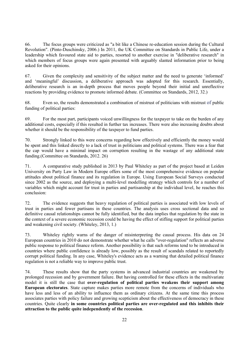66. The focus groups were criticized as "a bit like a Chinese re-education session during the Cultural Revolution". (Pinto-Duschinsky, 2006.) In 2011, the UK Committee on Standards in Public Life, under a leadership which favoured state aid to parties, resorted to another exercise in "deliberative research" in which members of focus groups were again presented with arguably slanted information prior to being asked for their opinions.

67. Given the complexity and sensitivity of the subject matter and the need to generate 'informed' and 'meaningful' discussion, a deliberative approach was adopted for this research. Essentially, deliberative research is an in-depth process that moves people beyond their initial and unreflective reactions by providing evidence to promote informed debate. (Committee on Standards, 2012, 32.)

68. Even so, the results demonstrated a combination of mistrust of politicians with mistrust of public funding of political parties:

69. For the most part, participants voiced unwillingness for the taxpayer to take on the burden of any additional costs, especially if this resulted in further tax increases. There were also increasing doubts about whether it should be the responsibility of the taxpayer to fund parties.

70. Strongly linked to this were concerns regarding how effectively and efficiently the money would be spent and this linked directly to a lack of trust in politicians and political systems. There was a fear that the cap would have a minimal impact on corruption resulting in the wastage of any additional state funding.(Committee on Standards, 2012. 26)

71. A comparative study published in 2013 by Paul Whiteley as part of the project based at Leiden University on Party Law in Modern Europe offers some of the most comprehensive evidence on popular attitudes about political finance and its regulation in Europe. Using European Social Surveys conducted since 2002 as the source, and deploying a multi-level modelling strategy which controls for a number of variables which might account for trust in parties and partisanship at the individual level, he reaches this conclusion:

72. The evidence suggests that heavy regulation of political parties is associated with low levels of trust in parties and fewer partisans in these countries. The analysis uses cross sectional data and so definitive causal relationships cannot be fully identified, but the data implies that regulation by the state in the context of a severe economic recession could be having the effect of stifling support for political parties and weakening civil society. (Whiteley, 2013, 1.)

73. Whiteley rightly warns of the danger of misinterpreting the causal process. His data on 24 European countries in 2010 do not demonstrate whether what he calls "over-regulation" reflects an adverse public response to political finance reform. Another possibility is that such reforms tend to be introduced in countries where public confidence is already low, possibly as the result of scandals related to reportedly corrupt political funding. In any case, Whiteley's evidence acts as a warning that detailed political finance regulation is not a reliable way to improve public trust.

74. These results show that the party systems in advanced industrial countries are weakened by prolonged recession and by government failure. But having controlled for these effects in the multivariate model it is still the case that **over-regulation of political parties weakens their support among European electorates**. State capture makes parties more remote from the concerns of individuals who have less and less of an ability to influence them as ordinary citizens. At the same time this process associates parties with policy failure and growing scepticism about the effectiveness of democracy in these countries. Quite clearly **in some countries political parties are over-regulated and this inhibits their attraction to the public quite independently of the recession**.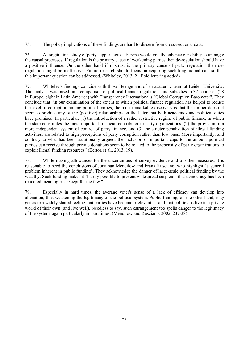75. The policy implications of these findings are hard to discern from cross-sectional data.

76. A longitudinal study of party support across Europe would greatly enhance our ability to untangle the causal processes. If regulation is the primary cause of weakening parties then de-regulation should have a positive influence. On the other hand if mistrust is the primary cause of party regulation then deregulation might be ineffective. Future research should focus on acquiring such longitudinal data so that this important question can be addressed. (Whiteley, 2013, 21.Bold lettering added)

77. Whiteley's findings coincide with those Beange and of an academic team at Leiden University. The analysis was based on a comparison of political finance regulations and subsidies in 37 countries (28 in Europe, eight in Latin America) with Transparency International's "Global Corruption Barometer". They conclude that "in our examination of the extent to which political finance regulation has helped to reduce the level of corruption among political parties, the most remarkable discovery is that the former does not seem to produce any of the (positive) relationships on the latter that both academics and political elites have promised. In particular, (1) the introduction of a rather restrictive regime of public finance, in which the state constitutes the most important financial contributor to party organizations, (2) the provision of a more independent system of control of party finance, and (3) the stricter penalization of illegal funding activities, are related to high perceptions of party corruption rather than low ones. More importantly, and contrary to what has been traditionally argued, the inclusion of important caps to the amount political parties can receive through private donations seem to be related to the propensity of party organizations to exploit illegal funding resources" (Bertoa et al., 2013, 19).

78. While making allowances for the uncertainties of survey evidence and of other measures, it is reasonable to heed the conclusions of Jonathan Mendilow and Frank Rusciano, who highlight "a general problem inherent in public funding". They acknowledge the danger of large-scale political funding by the wealthy. Such funding makes it "hardly possible to prevent widespread suspicion that democracy has been rendered meaningless except for the few."

79. Especially in hard times, the average voter's sense of a lack of efficacy can develop into alienation, thus weakening the legitimacy of the political system. Public funding, on the other hand, may generate a widely shared feeling that parties have become irrelevant … and that politicians live in a private world of their own (and live well). Needless to say, such estrangement too spells danger to the legitimacy of the system, again particularly in hard times. (Mendilow and Rusciano, 2002, 237-38)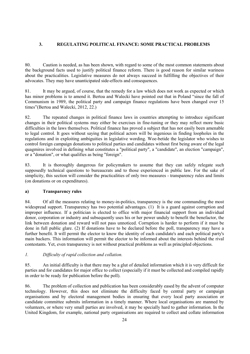# **3. REGULATING POLITICAL FINANCE: SOME PRACTICAL PROBLEMS**

80. Caution is needed, as has been shown, with regard to some of the most common statements about the background facts used to justify political finance reform. There is good reason for similar wariness about the practicalities. Legislative measures do not always succeed in fulfilling the objectives of their advocates. They may have unanticipated side-effects and consequences.

81. It may be argued, of course, that the remedy for a law which does not work as expected or which has minor problems is to amend it. Bertoa and Walecki have pointed out that in Poland "since the fall of Communism in 1989, the political party and campaign finance regulations have been changed over 15 times"(Bertoa and Walecki, 2012, 22.)

82. The repeated changes in political finance laws in countries attempting to introduce significant changes in their political systems may either be exercises in fine-tuning or they may reflect more basic difficulties in the laws themselves. Political finance has proved a subject that has not easily been amenable to legal control. It goes without saying that political actors will be ingenious in finding loopholes in the regulations and in exploiting ambiguities in legislative wording. Woe-betide the legislator who wishes to control foreign campaign donations to political parties and candidates without first being aware of the legal quagmires involved in defining what constitutes a "political party", a "candidate", an election "campaign", or a "donation", or what qualifies as being "foreign".

83. It is thoroughly dangerous for policymakers to assume that they can safely relegate such supposedly technical questions to bureaucrats and to those experienced in public law. For the sake of simplicity, this section will consider the practicalities of only two measures - transparency rules and limits (on donations or on expenditures).

## **a) Transparency rules**

84. Of all the measures relating to money-in-politics, transparency is the one commanding the most widespread support. Transparency has two potential advantages. (1) It is a guard against corruption and improper influence. If a politician is elected to office with major financial support from an individual donor, corporation or industry and subsequently uses his or her power unduly to benefit the benefactor, the link between donation and reward will not pass unnoticed. Corruption is harder to perform if it must be done in full public glare. (2) If donations have to be declared before the poll, transparency may have a further benefit. It will permit the elector to know the identity of each candidate's and each political party's main backers. This information will permit the elector to be informed about the interests behind the rival contestants. Yet, even transparency is not without practical problems as well as principled objections.

#### *1. Difficulty of rapid collection and collation.*

85. An initial difficulty is that there may be a glut of detailed information which it is very difficult for parties and for candidates for major office to collect (especially if it must be collected and compiled rapidly in order to be ready for publication before the poll).

86. The problem of collection and publication has been considerably eased by the advent of computer technology. However, this does not eliminate the difficulty faced by central party or campaign organisations and by electoral management bodies in ensuring that every local party association or candidate committee submits information in a timely manner. Where local organisations are manned by volunteers, or where very small parties are involved, it may be specially hard to gather information. In the United Kingdom, for example, national party organisations are required to collect and collate information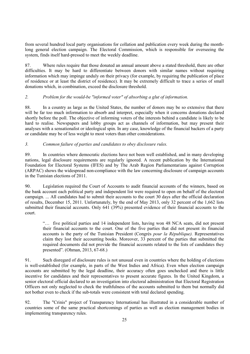from several hundred local party organisations for collation and publication every week during the monthlong general election campaign. The Electoral Commission, which is responsible for overseeing the system, finds itself hard-pressed to meet the weekly deadline.

87. Where rules require that those donated an annual amount above a stated threshold, there are other difficulties. It may be hard to differentiate between donors with similar names without requiring information which may impinge unduly on their privacy (for example, by requiring the publication of place of residence or at least the district of residence). It may be extremely difficult to trace a series of small donations which, in combination, exceed the disclosure threshold.

# *2. Problem for the would-be "informed voter" of absorbing a glut of information.*

88. In a country as large as the United States, the number of donors may be so extensive that there will be far too much information to absorb and interpret, especially when it concerns donations declared shortly before the poll. The objective of informing voters of the interests behind a candidate is likely to be hard to realise. Newspapers and lobby groups act as channels of information, but may present their analyses with a sensationalist or ideological spin. In any case, knowledge of the financial backers of a party or candidate may be of less weight to most voters than other considerations.

# *3. Common failure of parties and candidates to obey disclosure rules.*

89. In countries where democratic elections have not been well established, and in many developing nations, legal disclosure requirements are regularly ignored. A recent publication by the International Foundation for Electoral Systems (IFES) and by The Arab Region Parliamentarians against Corruption (ARPAC) shows the widespread non-compliance with the law concerning disclosure of campaign accounts in the Tunisian elections of 2011.

90. Legislation required the Court of Accounts to audit financial accounts of the winners, based on the bank account each political party and independent list were required to open on behalf of the electoral campaign. ... All candidates had to submit their accounts to the court 30 days after the official declaration of results, December 15, 2011. Unfortunately, by the end of May 2013, only 32 percent of the 1,662 lists submitted their financial accounts. Only 641 (39%) presented evidence of their financial accounts to the court.

"… five political parties and 14 independent lists, having won 48 NCA seats, did not present their financial accounts to the court. One of the five parties that did not present its financial accounts is the party of the Tunisian President (Congrès *pour la République).* Representatives claim they lost their accounting books. Moreover, 33 percent of the parties that submitted the required documents did not provide the financial accounts related to the lists of candidates they presented". (Ohman, 2013, 67-68.)

91. Such disregard of disclosure rules is not unusual even in countries where the holding of elections is well-established (for example, in parts of the West Indies and Africa). Even when election campaign accounts are submitted by the legal deadline, their accuracy often goes unchecked and there is little incentive for candidates and their representatives to present accurate figures. In the United Kingdom, a senior electoral official declared to an investigation into electoral administration that Electoral Registration Officers not only neglected to check the truthfulness of the accounts submitted to them but normally did not bother even to check if the sub-totals were consistent with total declared spending.

92. The "Crinis" project of Transparency International has illustrated in a considerable number of countries some of the same practical shortcomings of parties as well as election management bodies in implementing transparency rules.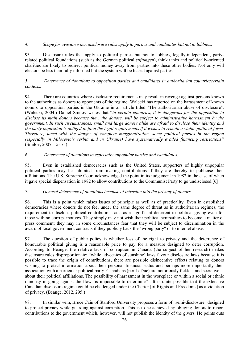# *4. Scope for evasion when disclosure rules apply to parties and candidates but not to lobbies..*

93. Disclosure rules that apply to political parties but not to lobbies, legally-independent, partyrelated political foundations (such as the German political *stiftungen*), think tanks and politically-oriented charities are likely to redirect political money away from parties into these other bodies. Not only will electors be less than fully informed but the system will be biased against parties.

# *5 Deterrence of donations to opposition parties and candidates in authoritarian countriescertain contexts.*

94. There are countries where disclosure requirements may result in revenge against persons known to the authorities as donors to opponents of the regime. Walecki has reported on the harassment of known donors to opposition parties in the Ukraine in an article titled "The authoritarian abuse of disclosure". (Walecki, 2004.) Daniel Smilov writes that "*in certain countries, it is dangerous for the opposition to disclose its main donors because they, the donors, will be subject to administrative harassment by the government. In such circumstances, small and large donors alike are afraid to disclose their identity and the party inquestion is obliged to flout the legal requirements if it wishes to remain a viable political force. Therefore, faced with the danger of complete marginalization, some political parties in the region (especially in Milosevic's serbia and in Ukraine) have systematically evaded financing restrictions"* (Smilov, 2007, 15-16.)

# *6 Deterrence of donations to especially unpopular parties and candidates.*

95. Even in established democracies such as the United States, supporters of highly unpopular political parties may be inhibited from making contributions if they are thereby to publicise their affiliations. The U.S. Supreme Court acknowledged the point in its judgement in 1982 in the case of when it gave special dispensation in 1982 to allow contributions to the Communist Party to go undisclosed.[6]

#### *7. General deterrence of donations because of intrusion into the privacy of donors.*

96. This is a point which raises issues of principle as well as of practicality. Even in established democracies where donors do not feel under the same degree of threat as in authoritarian regimes, the requirement to disclose political contributions acts as a significant deterrent to political giving even for those with no corrupt motives. They simply may not wish their political sympathies to become a matter of press comment; they may in some circumstances fear that they will be subject to discrimination in the award of local government contracts if they publicly back the "wrong party" or to internet abuse.

97. The question of public policy is whether loss of the right to privacy and the deterrence of honourable political giving is a reasonable price to pay for a measure designed to deter corruption. According to Beange, the relative lack of corruption in Canada (the subject of her research) makes disclosure rules disproportionate: "while advocates of sunshine' laws favour disclosure laws because it is possible to trace the origin of contributions, there are possible disincentive effects relating to donors wishing to protect information about their personal financial status and perhaps more importantly their association with a particular political party. Canadians (per LeDuc) are notoriously fickle—and secretive about their political affiliations. The possibility of harassment in the workplace or within a social or ethnic minority in going against the flow 'is impossible to determine" . It is quite possible that the extensive Canadian disclosure regime could be challenged under the Charter [of Rights and Freedoms] as a violation of privacy. (Beange, 2012, 295.)

98. In similar vein, Bruce Cain of Stanford University proposes a form of "semi-disclosure" designed to protect privacy while guarding against corruption. This is to be achieved by obliging donors to report contributions to the government which, however, will not publish the identity of the givers. He points outs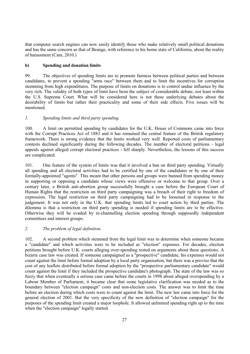that computer search engines can now easily identify those who make relatively small political donations and has the same concern as that of Beange, with reference to his home state of California, about the reality of harassment (Cain, 2010.)

### **b) Spending and donation limits**

99. The objectives of spending limits are to promote fairness between political parties and between candidates, to prevent a spending "arms race" between them and to limit the incentives for corruption stemming from high expenditures. The purpose of limits on donations is to control undue influence by the very rich. The validity of both types of limit have been the subject of considerable debate, not least within the U.S. Supreme Court. What will be considered here is not these underlying debates about the desirability of limits but rather their practicality and some of their side effects. Five issues will be mentioned.

# *1. Spending limits and third party spending.*

100. A limit on permitted spending by candidates for the U.K. House of Commons came into force with the Corrupt Practices Act of 1883 and it has remained the central feature of the British regulatory framework. There is strong evidence that the limits worked very well. Reported costs of parliamentary contests declined significantly during the following decades. The number of electoral petitions - legal appeals against alleged corrupt electoral practices - fell sharply. Nevertheless, the lessons of this success are complicated.

101. One feature of the system of limits was that it involved a ban on third party spending. Virtually all spending and all electoral activities had to be certified by one of the candidates or by one of their formally-appointed "agents". This meant that other persons and groups were banned from spending money in supporting or opposing a candidate whose views were offensive or welcome to that group. Over a century later, a British anti-abortion group successfully brought a case before the European Court of Human Rights that the restriction on third party campaigning was a breach of their right to freedom of expression. The legal restriction on third party campaigning had to be loosened in response to the judgement. It was not only in the U.K. that spending limits led to court action by third parties. The dilemma is that a restriction on third party spending is needed if spending limits are to be effective. Otherwise they will be evaded by re-channelling election spending through supposedly independent committees and interest groups.

#### *2. The problem of legal definition.*

102. A second problem which stemmed from the legal limit was to determine when someone became a "candidate" and which activities were to be included as "election" expenses. For decades, election petitions brought before U.K. courts alleging over-spending rested on arguments about these questions. A bizarre case law was created. If someone campaigned as a "prospective" candidate, his expenses would not count against the limit before formal adoption by a local party organisation, but there was a proviso that the cost of any leaflets distributed before formal adoption by the "prospective parliamentary candidate" would count against the limit if they included the prospective candidate's photograph. The state of the law was so fuzzy that when eventually a serious case came before the courts in 1998 about alleged overspending by a Labour Member of Parliament, it became clear that some legislative clarification was needed as to the boundary between "election campaign" costs and non-election costs. The answer was to limit the time before an election during which costs were to count against the limit. The new law came into force for the general election of 2001. But the very specificity of the new definition of "election campaign" for the purposes of the spending limit created a major loophole. It allowed unlimited spending right up to the time when the "election campaign" legally started.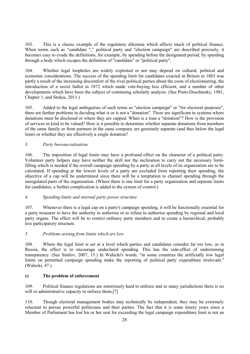103. This is a classic example of the regulatory dilemma which affects much of political finance. When terms such as "candidate "," political party and "election campaign" are described precisely, it becomes easy to evade the definitions, for example, by spending before the designated period, by spending through a body which escapes the definition of "candidate" or "political party".

104. Whether legal loopholes are widely exploited or not may depend on cultural, political and economic considerations. The success of the spending limit for candidates exacted in Britain in 1883 was partly a result of the increasing discomfort of the rival political parties about the costs of electioneering, the introduction of a secret ballot in 1872 which made vote-buying less efficient, and a number of other developments which have been the subject of continuing scholarly analysis. (See Pinto-Duschinsky, 1981, Chapter 1, and Stokes, 2011.)

105. Added to the legal ambiguities of such terms as "election campaign" or "for electoral purposes", there are further problems in deciding what is or is not a "donation". There are significant in systems where donations must be disclosed or where they are capped. When is a loan a "donation"? How is the provision of services in kind to be valued? How is it possible to determine whether separate donations from members of the same family or from partners in the same company are genuinely separate (and thus below the legal limit) or whether they are effectively a single donation?

# *3. Party bureaucratisation.*

106. The imposition of legal limits may have a profound effect on the character of a political party. Volunteer party helpers may have neither the skill nor the inclination to carry out the necessary formfilling which is needed if the overall campaign spending by a party at all levels of its organisation are to be calculated. If spending at the lowest levels of a party are excluded from reporting their spending, the objective of a cap will be undermined since there will be a temptation to channel spending through the unregulated parts of the organisation. (Where there is one limit for a party organisation and separate limits for candidates, a further complication is added to the system of control.)

#### *4. Spending limits and internal party power structure.*

107. Whenever there is a legal cap on a party's campaign spending, it will be functionally essential for a party treasurer to have the authority to authorise or to refuse to authorise spending by regional and local party organs. The effect will be to restrict ordinary party members and to create a hierarchical, probably less participatory structure.

#### *5. Problems arising from limits which are low.*

108. Where the legal limit is set at a level which parties and candidates consider far too low, as in Russia, the effect is to encourage undeclared spending. This has the side-effect of undermining transparency. (See Smilov, 2007, 15.) In Walecki's words, "in some countries the artificially low legal limits on permitted campaign spending make the reporting of political party expenditure irrelevant." (Walecki, 47.)

#### **c) The problem of enforcement**

109. Political finance regulations are notoriously hard to enforce and in many jurisdictions there is no will or administrative capacity to enforce them.[7]

110. Though electoral management bodies may technically be independent, they may be extremely reluctant to pursue powerful politicians and their parties. The fact that it is some ninety years since a Member of Parliament has lost his or her seat for exceeding the legal campaign expenditure limit is not an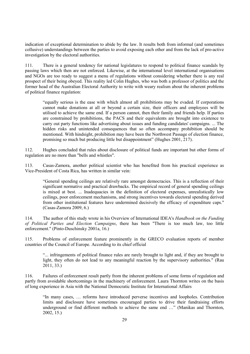indication of exceptional determination to abide by the law. It results both from informal (and sometimes collusive) understandings between the parties to avoid exposing each other and from the lack of pro-active investigation by the electoral authorities.

111. There is a general tendency for national legislatures to respond to political finance scandals by passing laws which then are not enforced. Likewise, at the international level international organisations and NGOs are too ready to suggest a menu of regulations without considering whether there is any real prospect of their being obeyed. This reality led Colin Hughes, who was both a professor of politics and the former head of the Australian Electoral Authority to write with weary realism about the inherent problems of political finance regulation:

"equally serious is the ease with which almost all prohibitions may be evaded. If corporations cannot make donations at all or beyond a certain size, their officers and employees will be utilised to achieve the same end. If a person cannot, then their family and friends help. If parties are constrained by prohibitions, the PACS and their equivalents are brought into existence to carry out party functions like advertising about issues and funding candidates' campaigns. ... The hidden risks and unintended consequences that so often accompany prohibition should be mentioned. With hindsight, prohibition may have been the Northwest Passage of election finance, promising so much but producing little but disappointment" (Hughes 2001, 217).

112. Hughes concluded that rules about disclosure of political funds are important but other forms of regulation are no more than "bells and whistles".

113. Casas-Zamora, another political scientist who has benefited from his practical experience as Vice-President of Costa Rica, has written in similar vein:

"General spending ceilings are relatively rare amongst democracies. This is a reflection of their significant normative and practical drawbacks. The empirical record of general spending ceilings is mixed at best. ... Inadequacies in the definition of electoral expenses, unrealistically low ceilings, poor enforcement mechanisms, and strong incentives towards electoral spending derived from other institutional features have undermined decisively the efficacy of expenditure caps." (Casas-Zamora 2009, 6.)

114. The author of this study wrote in his Overview of International IDEA's *Handbook on the Funding of Political Parties and Election Campaigns*, there has been "There is too much law, too little enforcement." (Pinto-Duschinsky 2001a, 16.)

115. Problems of enforcement feature prominently in the GRECO evaluation reports of member countries of the Council of Europe. According to its chief official

"... infringements of political finance rules are rarely brought to light and, if they are brought to light, they often do not lead to any meaningful reaction by the supervisory authorities." (Rau 2011, 33.)

116. Failures of enforcement result partly from the inherent problems of some forms of regulation and partly from avoidable shortcomings in the machinery of enforcement. Laura Thornton writes on the basis of long experience in Asia with the National Democratic Institute for International Affairs

"In many cases, … reforms have introduced perverse incentives and loopholes. Contribution limits and disclosure have sometimes encouraged parties to drive their fundraising efforts underground or find different methods to achieve the same end …" (Manikas and Thornton, 2002, 15.)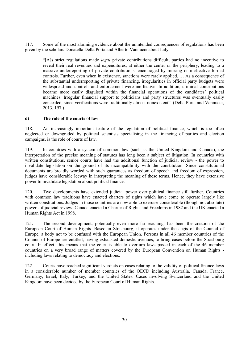117. Some of the most alarming evidence about the unintended consequences of regulations has been given by the scholars Donatella Della Porta and Alberto Vannucci about Italy:

"[A]s strict regulations made *legal* private contributions difficult, parties had no incentive to reveal their real revenues and expenditures, at either the center or the periphery, leading to a massive underreporting of private contributions, encouraged by missing or ineffective formal controls. Further, even when in existence, sanctions were rarely applied. … As a consequence of the substantial underreporting of private financing, irregularities in official party budgets were widespread and controls and enforcement were ineffective. In addition, criminal contributions became more easily disguised within the financial operations of the candidates' political machines. Irregular financial support to politicians and party structures was eventually easily concealed, since verifications were traditionally almost nonexistent". (Della Porta and Vannucci, 2013, 197.)

#### **d) The role of the courts of law**

118. An increasingly important feature of the regulation of political finance, which is too often neglected or downgraded by political scientists specialising in the financing of parties and election campaigns, is the role of courts of law.

119. In countries with a system of common law (such as the United Kingdom and Canada), the interpretation of the precise meaning of statutes has long been a subject of litigation. In countries with written constitutions, senior courts have had the additional function of judicial review - the power to invalidate legislation on the ground of its incompatibility with the constitution. Since constitutional documents are broadly worded with such guarantees as freedom of speech and freedom of expression, judges have considerable leeway in interpreting the meaning of these terms. Hence, they have extensive power to invalidate legislation about political finance.

120. Two developments have extended judicial power over political finance still further. Countries with common law traditions have enacted charters of rights which have come to operate largely like written constitutions. Judges in those countries are now able to exercise considerable (though not absolute) powers of judicial review. Canada enacted a Charter of Rights and Freedoms in 1982 and the UK enacted a Human Rights Act in 1998.

121. The second development, potentially even more far reaching, has been the creation of the European Court of Human Rights. Based in Strasbourg, it operates under the aegis of the Council of Europe, a body not to be confused with the European Union. Persons in all 46 member countries of the Council of Europe are entitled, having exhausted domestic avenues, to bring cases before the Strasbourg court. In effect, this means that the court is able to overturn laws passed in each of the 46 member countries on a very broad range of matters covered by the European Convention on Human Rights including laws relating to democracy and elections.

122. Courts have reached significant verdicts on cases relating to the validity of political finance laws in a considerable number of member countries of the OECD including Australia, Canada, France, Germany, Israel, Italy, Turkey, and the United States. Cases involving Switzerland and the United Kingdom have been decided by the European Court of Human Rights.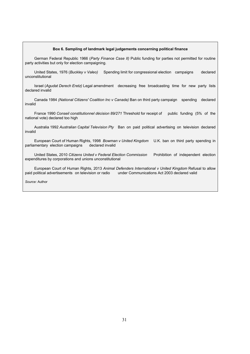#### **Box 6. Sampling of landmark legal judgements concerning political finance**

German Federal Republic 1966 (*Party Finance Case II)* Public funding for parties not permitted for routine party activities but only for election campaigning.

United States, 1976 (*Buckley v Valeo)* Spending limit for congressional election campaigns declared unconstitutional

Israel (*Agudat Derech Eretz)* Legal amendment decreasing free broadcasting time for new party lists declared invalid

Canada 1984 *(National Citizens' Coalition Inc v Canada)* Ban on third party campaign spending declared invalid

France 1990 *Conseil constitutionnel décision 89/271* Threshold for receipt of public funding (5% of the national vote) declared too high

Australia 1992 *Australian Capital Television Pty* Ban on paid political advertising on television declared invalid

European Court of Human Rights, 1998 *Bowman v United Kingdom* U.K. ban on third party spending in parliamentary election campaigns declared invalid

United States, 2010 *Citizens United v Federal Election Commission* Prohibition of independent election expenditures by corporations and unions unconstitutional

European Court of Human Rights, 2013 *Animal Defenders International v United Kingdom* Refusal to allow paid political advertisements on television or radio under Communications Act 2003 declared valid

*Source:* Author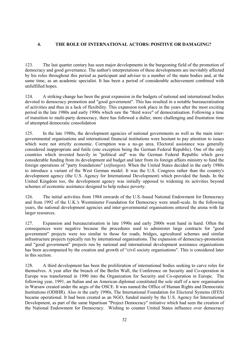# **4. THE ROLE OF INTERNATIONAL ACTORS: POSITIVE OR DAMAGING?**

123. The last quarter century has seen major developments in the burgeoning field of the promotion of democracy and good governance. The author's interpretations of these developments are inevitably affected by his roles throughout this period as participant and adviser to a number of the main bodies and, at the same time, as an academic specialist. It has been a period of considerable achievement combined with unfulfilled hopes.

124. A striking change has been the great expansion in the budgets of national and international bodies devoted to democracy promotion and "good government". This has resulted in a notable bureaucratisation of activities and thus in a lack of flexibility. This expansion took place in the years after the most exciting period in the late 1980s and early 1990s which saw the "third wave" of democratisation. Following a time of transition to multi-party democracy, there has followed a duller, more challenging and frustration time of attempted democratic consolidation

125. In the late 1980s, the development agencies of national governments as well as the main intergovernmental organisations and international financial institutions were hesitant to pay attention to issues which were not strictly economic. Corruption was a no-go area. Electoral assistance was generally considered inappropriate and futile (one exception being the German Federal Republic). One of the only countries which invested heavily in "political aid" was the German Federal Republic which gave considerable funding from its development aid budget and later from its foreign affairs ministry to fund the foreign operations of "party foundations" (*stiftungen*). When the United States decided in the early 1980s to introduce a variant of the West German model. It was the U.S. Congress rather than the country's development agency (the U.S. Agency for International Development) which provided the funds. In the United Kingdom too, the development agency was initially opposed to widening its activities beyond schemes of economic assistance designed to help reduce poverty.

126. The initial activities from 1984 onwards of the U.S.-based National Endowment for Democracy and from 1992 of the U.K.'s Westminster Foundation for Democracy were small-scale. In the following years, the national development agencies and inter-governmental organisations entered the arena with far larger resources.

127. Expansion and bureaucratisation in late 1990s and early 2000s went hand in hand. Often the consequences were negative because the procedures used to administer large contracts for "good government" projects were too similar to those for roads, bridges, agricultural schemes and similar infrastructure projects typically run by international organisations. The expansion of democracy-promotion and "good government" projects run by national and international development assistance organisations has been accompanied by the creation and growth of "civil society organisations". This is considered later in this section.

128. A third development has been the proliferation of international bodies seeking to carve roles for themselves. A year after the breach of the Berlin Wall, the Conference on Security and Co-operation in Europe was transformed in 1990 into the Organization for Security and Co-operation in Europe. The following year, 1991, an Italian and an American diplomat constituted the sole staff of a new organisation in Warsaw created under the aegis of the OSCE. It was named the Office of Human Rights and Democratic Institutions (ODIHR). Also in the early 1990s, The International Foundation for Electoral Systems (IFES) became operational. It had been created as an NGO, funded mainly by the U.S. Agency for International Development, as part of the same bipartisan "Project Democracy" initiative which had seen the creation of the National Endowment for Democracy. Wishing to counter United States influence over democracy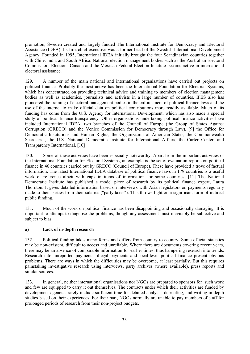promotion, Sweden created and largely funded The International Institute for Democracy and Electoral Assistance (IDEA). Its first chief executive was a former head of the Swedish International Development Agency. Founded in 1995, International IDEA initially brought the four Scandinavian countries together with Chile, India and South Africa. National election management bodies such as the Australian Electoral Commission, Elections Canada and the Mexican Federal Election Institute became active in international electoral assistance.

129. A number of the main national and international organisations have carried out projects on political finance. Probably the most active has been the International Foundation for Electoral Systems, which has concentrated on providing technical advice and training to members of election management bodies as well as academics, journalists and activists in a large number of countries. IFES also has pioneered the training of electoral management bodies in the enforcement of political finance laws and the use of the internet to make official data on political contributions more readily available. Much of its funding has come from the U.S. Agency for International Development, which has also made a special study of political finance transparency. Other organisations undertaking political finance activities have included International IDEA, two branches of the Council of Europe (the Group of States Against Corruption (GRECO) and the Venice Commission for Democracy through Law), [9] the Office for Democratic Institutions and Human Rights, the Organization of American States, the Commonwealth Secretariat, the U.S. National Democratic Institute for International Affairs, the Carter Center, and Transparency International. [10]

130. Some of these activities have been especially noteworthy. Apart from the important activities of the International Foundation for Electoral Systems, an example is the set of evaluation reports on political finance in 46 countries carried out by GRECO (Council of Europe). These have provided a trove of factual information. The latest International IDEA database of political finance laws in 179 countries is a useful work of reference albeit with gaps in items of information for some countries. [11] The National Democratic Institute has published a model piece of research by its political finance expert, Laura Thornton. It gives detailed information based on interviews with Asian legislators on payments regularly made to their parties from their salaries ("party taxes"). This throws light on a significant form of indirect public funding.

131. Much of the work on political finance has been disappointing and occasionally damaging. It is important to attempt to diagnose the problems, though any assessment must inevitably be subjective and subject to bias.

#### **a) Lack of in-depth research**

132. Political funding takes many forms and differs from country to country. Some official statistics may be non-existent, difficult to access and unreliable. Where there are documents covering recent years, there may be an absence of comparable information for earlier times, thus hampering research into trends. Research into unreported payments, illegal payments and local-level political finance present obvious problems. There are ways in which the difficulties may be overcome, at least partially. But this requires painstaking investigative research using interviews, party archives (where available), press reports and similar sources.

133. In general, neither international organisations nor NGOs are prepared to sponsors for such work and few are equipped to carry it out themselves. The contracts under which their activities are funded by development agencies rarely include sufficient time for detailed analysis, debriefing, and writing in-depth studies based on their experiences. For their part, NGOs normally are unable to pay members of staff for prolonged periods of research from their non-project budgets.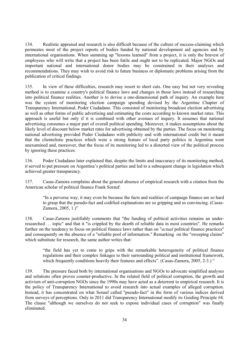134. Realistic appraisal and research is also difficult because of the culture of success-claiming which permeates most of the project reports of bodies funded by national development aid agencies and by international organisations. When summing up "lessons learned" from a project, it is only the bravest of employees who will write that a project has been futile and ought not to be replicated. Major NGOs and important national and international donor bodies may be constrained in their analyses and recommendations. They may wish to avoid risk to future business or diplomatic problems arising from the publication of critical findings.

135. In view of these difficulties, research may resort to short cuts. One easy but not very revealing method is to examine a country's political finance laws and changes in those laws instead of researching into political finance realities. Another is to devise a one-dimensional path of inquiry. An example here was the system of monitoring election campaign spending devised by the Argentine Chapter of Transparency International, Poder Ciudadano. This consisted of monitoring broadcast election advertising as well as other forms of public advertising and estimating the costs according to known market rates. This approach is useful but only if it is combined with other avenues of inquiry. It assumes that national advertising consumes a major part of overall political spending. Moreover, it makes assumptions about the likely level of discount below market rates for advertising obtained by the parties. The focus on monitoring national advertising provided Poder Ciudadano with publicity and with international credit but it meant that the clientelistic practices which were a strong feature of local party politics in Argentina went unexamined and, moreover, that the focus of its monitoring led to a distorted view of the political process by ignoring these practices.

136. Poder Ciudadano later explained that, despite the limits and inaccuracy of its monitoring method, it served to put pressure on Argentina's political parties and led to a subsequent change in legislation which achieved greater transparency.

137. Casas-Zamora complains about the general absence of empirical research with a citation from the American scholar of political finance Frank Sorauf:

"In a perverse way, it may even be because the facts and realities of campaign finance are so hard to grasp that the pseudo-fact and codified explanations are so gripping and so convincing. (Casas-Zamora, 2005, 1.)"

138. Casas-Zamora justifiably comments that "the funding of political activities remains an underresearched … topic" and that it "is crippled by the dearth of reliable data in most countries". He remarks further on the tendency to focus on political finance laws rather than on "*actual* political finance practices" and consequently on the absence of a "reliable pool of information." Remarking on the "sweeping claims" which substitute for research, the same author writes that:

"the field has yet to come to grips with the remarkable heterogeneity of political finance regulations and their complex linkages to their surrounding political and institutional framework, which frequently conditions heavily their features and effects". (Casas-Zamora, 2005, 2-3.) "

139. The pressure faced both by international organisations and NGOs to advocate simplified analyses and solutions often proves counter-productive. In the related field of political corruption, the growth and activism of anti-corruption NGOs since the 1990s may have acted as a deterrent to empirical research. It is the policy of Transparency International to avoid research into actual examples of alleged corruption. Instead, it has concentrated on what Sorauf called "pseudo-fact" in the form of various indices derived from surveys of perceptions. Only in 2011 did Transparency International modify its Guiding Principle #4. The clause "although we ourselves do not seek to expose individual cases of corruption" was finally eliminated.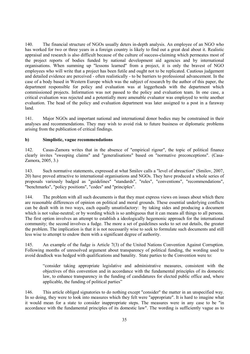140. The financial structure of NGOs usually deters in-depth analysis. An employee of an NGO who has worked for two or three years in a foreign country is likely to find out a great deal about it. Realistic appraisal and research is also difficult because of the culture of success-claiming which permeates most of the project reports of bodies funded by national development aid agencies and by international organisations. When summing up "lessons learned" from a project, it is only the bravest of NGO employees who will write that a project has been futile and ought not to be replicated. Cautious judgement and detailed evidence are perceived - often realistically - to be barriers to professional advancement. In the case of a body based in Western Europe which was the subject of research by the author of this paper, the department responsible for policy and evaluation was at loggerheads with the department which commissioned projects. Information was not passed to the policy and evaluation team. In one case, a critical evaluation was rejected and a potentially more amenable evaluator was employed to write another evaluation. The head of the policy and evaluation department was later assigned to a post in a faraway land.

141. Major NGOs and important national and international donor bodies may be constrained in their analyses and recommendations. They may wish to avoid risk to future business or diplomatic problems arising from the publication of critical findings.

#### **b) Simplistic, vague recommendations**

142. Casas-Zamora writes that in the absence of "empirical rigour", the topic of political finance clearly invites "sweeping claims" and "generalisations" based on "normative preconceptions". (Casa-Zamora, 2005, 3.)

143. Such normative statements, expressed at what Smilov calls a "level of abreaction" (Smilov, 2007, 20) have proved attractive to international organisations and NGOs. They have produced a whole series of proposals variously badged as "guidelines" "standards", "rules", "conventions", "recommendations", "benchmarks", "policy positions", "codes" and "principles".

144. The problem with all such documents is that they must express views on issues about which there are reasonable differences of opinion on political and moral grounds. These essential underlying conflicts can be dealt with in two ways, each equally unsatisfactory: by taking sides and producing a document which is not value-neutral; or by wording which is so ambiguous that it can means all things to all persons. The first option involves an attempt to establish a ideologically hegemonic approach for the international community; the second involves a fudge. The more a set of guidelines seeks to set out details, the greater the problem. The implication is that it is not necessarily wise to seek to formulate such documents and still less wise to attempt to endow them with a significant degree of authority.

145. An example of the fudge is Article 7(3) of the United Nations Convention Against Corruption. Following months of unresolved argument about transparency of political funding, the wording used to avoid deadlock was hedged with qualifications and banality. State parties to the Convention were to:

"consider taking appropriate legislative and administrative measures, consistent with the objectives of this convention and in accordance with the fundamental principles of its domestic law, to enhance transparency in the funding of candidatures for elected public office and, where applicable, the funding of political parties"

146. This article obliged signatories to do nothing except "consider" the matter in an unspecified way. In so doing, they were to look into measures which they felt were "appropriate". It is hard to imagine what it would mean for a state to consider inappropriate steps. The measures were in any case to be "in accordance with the fundamental principles of its domestic law". The wording is sufficiently vague as to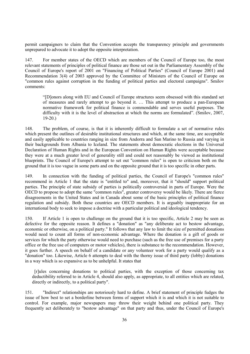permit campaigners to claim that the Convention accepts the transparency principle and governments unprepared to advocate it to adopt the opposite interpretation.

147. For member states of the OECD which are members of the Council of Europe too, the most relevant statements of principles of political finance are those set out in the Parliamentary Assembly of the Council of Europe's report of 2001 on "Financing of Political Parties" (Council of Europe 2001) and Recommendation 3(4) of 2003 approved by the Committee of Ministers of the Council of Europe on "common rules against corruption in the funding of political parties and electoral campaigns". Smilov comments:

"[D]onors along with EU and Council of Europe structures seem obsessed with this standard set of measures and rarely attempt to go beyond it. … This attempt to produce a pan-European normative framework for political finance is commendable and serves useful purposes. The difficulty with it is the level of abstraction at which the norms are formulated". (Smilov, 2007,  $19-20.$ )

148. The problem, of course, is that it is inherently difficult to formulate a set of normative rules which present the outlines of desirable institutional structures and which, at the same time, are acceptable and easily applicable to countries ranging in size from Andorra and San Marino to Russia and varying in their backgrounds from Albania to Iceland. The statements about democratic elections in the Universal Declaration of Human Rights and in the European Convention on Human Rights were acceptable because they were at a much greater level of generality still and could not reasonably be viewed as institutional blueprints. The Council of Europe's attempt to set out "common rules" is open to criticism both on the ground that it is too vague in some parts and on the opposite ground that it is too specific in other parts.

149. In connection with the funding of political parties, the Council of Europe's "common rules" recommend in Article 1 that the state is "entitled to" and, moreover, that it "should" support political parties. The principle of state subsidy of parties is politically controversial in parts of Europe. Were the OECD to propose to adopt the same "common rules", greater controversy would be likely. There are fierce disagreements in the United States and in Canada about some of the basic principles of political finance regulation and subsidy. Both these countries are OECD members. It is arguably inappropriate for an international body to seek to impose a doctrine with a particular political and ideological tendency.

150. If Article 1 is open to challenge on the ground that it is too specific, Article 2 may be seen as defective for the opposite reason. It defines a "donation" as "any deliberate act to bestow advantage, economic or otherwise, on a political party." It follows that any law to limit the size of permitted donations would need to count all forms of non-economic advantage. Where the donation is a gift of goods or services for which the party otherwise would need to purchase (such as the free use of premises for a party office or the free use of computers or motor vehicles), there is substance to the recommendation. However, it goes further. A speech on behalf of a candidate or any volunteer work for a party would qualify as a "donation" too. Likewise, Article 6 attempts to deal with the thorny issue of third party (lobby) donations in a way which is so expansive as to be unhelpful. It states that

[r]ules concerning donations to political parties, with the exception of those concerning tax deductibility referred to in Article 4, should also apply, as appropriate, to all entities which are related, directly or indirectly, to a political party".

151. "Indirect" relationships are notoriously hard to define. A brief statement of principle fudges the issue of how best to set a borderline between forms of support which it is and which it is not suitable to control. For example, major newspapers may throw their weight behind one political party. They frequently act deliberately to "bestow advantage" on that party and thus, under the Council of Europe's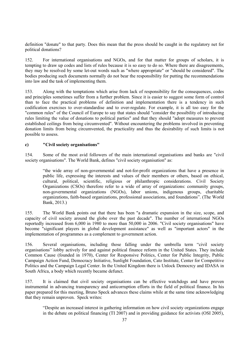definition "donate" to that party. Does this mean that the press should be caught in the regulatory net for political donations?

152. For international organisations and NGOs, and for that matter for groups of scholars, it is tempting to draw up codes and lists of rules because it is so easy to do so. Where there are disagreements, they may be resolved by some let-out words such as "where appropriate" or "should be considered". The bodies producing such documents normally do not bear the responsibility for putting the recommendations into law and the task of implementing them.

153. Along with the temptations which arise from lack of responsibility for the consequences, codes and principles sometimes suffer from a further problem. Since it is easier to suggest some form of control than to face the practical problems of definition and implementation there is a tendency in such codification exercises to over-standardise and to over-regulate. For example, it is all too easy for the "common rules" of the Council of Europe to say that states should "consider the possibility of introducing rules limiting the value of donations to political parties" and that they should "adopt measures to prevent established ceilings from being circumvented". Without encountering the problems involved in preventing donation limits from being circumvented, the practicality and thus the desirability of such limits is not possible to assess.

#### **c) "Civil society organisations"**

154. Some of the most avid followers of the main international organisations and banks are "civil society organisations". The World Bank, defines "civil society organisation" as:

"the wide array of non-governmental and not-for-profit organizations that have a presence in public life, expressing the interests and values of their members or others, based on ethical, cultural, political, scientific, religious or philanthropic considerations. Civil Society Organizations (CSOs) therefore refer to a wide of array of organizations: community groups, non-governmental organizations (NGOs), labor unions, indigenous groups, charitable organizations, faith-based organizations, professional associations, and foundations". (The World Bank, 2013.)

155. The World Bank points out that there has been "a dramatic expansion in the size, scope, and capacity of civil society around the globe over the past decade". The number of international NGOs reportedly increased from 6,000 in 1980 to more than 50,000 in 2006. "Civil society organisations" have become "significant players in global development assistance" as well as "important actors" in the implementation of programmes as a complement to government action.

156. Several organisations, including those falling under the umbrella term "civil society organisations" lobby actively for and against political finance reform in the United States. They include Common Cause (founded in 1970), Center for Responsive Politics, Center for Public Integrity, Public Campaign Action Fund, Democracy Initiative, Sunlight Foundation, Cato Institute, Center for Competitive Politics and the Campaign Legal Center. In the United Kingdom there is Unlock Democrcy and IDASA in South Africa, a body which recently became defunct.

157. It is claimed that civil society organisations can be effective watchdogs and have proven instrumental in advancing transparency and anticorruption efforts in the field of political finance. In his paper prepared for this meeting, Bruno Speck advances these claims while at the same time acknowledging that they remain unproven. Speck writes:

"Despite an increased interest in gathering information on how civil society organizations engage in the debate on political financing (TI 2007) and in providing guidance for activists (OSI 2005),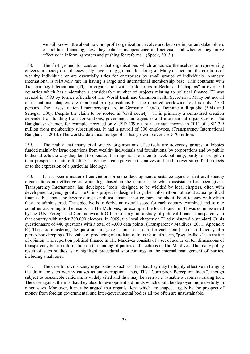we still know little about how nonprofit organizations evolve and become important stakeholders on political financing, how they balance independence and activism and whether they prove effective in informing voters and pushing for reforms". (Speck, 2013.)

158. The first ground for caution is that organisations which announce themselves as representing citizens or society do not necessarily have strong grounds for doing so. Many of them are the creations of wealthy individuals or are essentially titles for enterprises by small groups of individuals. Amnesty International is relatively rare in having a large and international membership base. This contrasts with Transparency International (TI), an organisation with headquarters in Berlin and "chapters" in over 100 countries which has undertaken a considerable number of projects relating to political finance. TI was created in 1993 by former officials of The World Bank and Commonwealth Secretariat. Many but not all of its national chapters are membership organisations but the reported worldwide total is only 7,700 persons. The largest national memberships are in Germany (1,041), Dominican Republic (594) and Senegal (500). Despite the claim to be rooted in "civil society", TI is primarily a centralised creation dependent on funding from corporations, government aid agencies and international organisations. The Bangladesh chapter, for example, received only USD 209 out of its annual income in 2011 of USD 3.9 million from membership subscriptions. It had a payroll of 300 employees. (Transparency International Bangladesh, 2013.) The worldwide annual budget of TI has grown to over USD 70 million.

159. The reality that many civil society organisations effectively are advocacy groups or lobbies funded mainly by large donations from wealthy individuals and foundations, by corporations and by public bodies affects the way they tend to operate. It is important for them to seek publicity, partly to strengthen their prospects of future funding. This may create perverse incentives and lead to over-simplified projects or to the expression of a particular ideology.

160. It has been a matter of conviction for some development assistance agencies that civil society organisations are effective as watchdogs based in the countries to which assistance has been given. Transparency International has developed "tools" designed to be wielded by local chapters, often with development agency grants. The Crinis project is designed to gather information not about actual political finances but about the laws relating to political finance in a country and about the efficiency with which they are administered. The objective is to derive an overall score for each country examined and to rate countries according to the results. In The Maldives, for example, the local branch of TI was commissioned by the U.K. Foreign and Commonwealth Office to carry out a study of political finance transparency in that country with under 300,000 electors. In 2009, the local chapter of TI administered a standard Crinis questionnaire of 440 questions with a total of 4,000 data points. (Transparency Maldives, 2011, Appendix E.) Those administering the questionnaire gave a numerical score for each item (such as efficiency of a party's bookkeeping). The value of producing meta-data or, to use Sorauf's term, "pseudo-facts" is a matter of opinion. The report on political finance in The Maldives consists of a set of scores on ten dimensions of transparency but no information on the funding of parties and elections in The Maldives. The likely policy result of such studies is to highlight procedural shortcomings in the internal management of parties, including small ones.

161. The case for civil society organisations such as TI is that they may be highly effective in banging the drum for such worthy causes as anti-corruption. Thus, TI's "Corruption Perception Index", though subject to reasonable criticism, is widely cited and thus may be seen as a valuable awareness-raising tool. The case against them is that they absorb development aid funds which could be deployed more usefully in other ways. Moreover, it may be argued that organisations which are shaped largely by the prospect of money from foreign governmental and inter-governmental bodies all too often are unsustainable.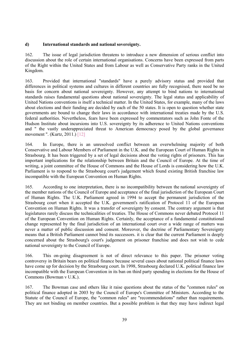#### **d) International standards and national sovereignty.**

162. The issue of legal jurisdiction threatens to introduce a new dimension of serious conflict into discussion about the role of certain international organisations. Concerns have been expressed from parts of the Right within the United States and from Labour as well as Conservative Party ranks in the United Kingdom.

163. Provided that international "standards" have a purely advisory status and provided that differences in political systems and cultures in different countries are fully recognised, there need be no basis for concern about national sovereignty. However, any attempt to bind nations to international standards raises fundamental questions about national sovereignty. The legal status and applicability of United Nations conventions is itself a technical matter. In the United States, for example, many of the laws about elections and their funding are decided by each of the 50 states. It is open to question whether state governments are bound to change their laws in accordance with international treaties made by the U.S. federal authorities. Nevertheless, fears have been expressed by commentators such as John Fonte of the Hudson Institute about incursions into U.S. sovereignty by its adherence to United Nations conventions and " the vastly underappreciated threat to American democracy posed by the global governance movement ". (Kurtz, 2011.) [12]

164. In Europe, there is an unresolved conflict between an overwhelming majority of both Conservative and Labour Members of Parliament in the U.K. and the European Court of Human Rights in Strasbourg. It has been triggered by a set of legal decisions about the voting rights of prisoners. This has important implications for the relationship between Britain and the Council of Europe. At the time of writing, a joint committee of the House of Commons and the House of Lords is considering how the U.K. Parliament is to respond to the Strasbourg court's judgement which found existing British franchise law incompatible with the European Convention on Human Rights.

165. According to one interpretation, there is no incompatibility between the national sovereignty of the member nations of the Council of Europe and acceptance of the final jurisdiction of the European Court of Human Rights. The U.K. Parliament agreed in 1994 to accept the permanent jurisdiction of the Strasbourg court when it accepted the U.K. government's ratification of Protocol 11 of the European Convention on Human Rights. It was a transfer of sovereignty by consent. The contrary argument is that legislatures rarely discuss the technicalities of treaties. The House of Commons never debated Protocol 11 of the European Convention on Human Rights. Certainly, the acceptance of a fundamental constitutional change represented by the final jurisdiction of an international court over a wide range of matters was never a matter of public discussion and consent. Moreover, the doctrine of Parliamentary Sovereignty means that a British Parliament cannot bind its successors. it is clear that the current Parliament is deeply concerned about the Strasbourg's court's judgement on prisoner franchise and does not wish to cede national sovereignty to the Council of Europe.

166. This on-going disagreement is not of direct relevance to this paper. The prisoner voting controversy in Britain bears on political finance because several cases about national political finance laws have come up for decision by the Strasbourg court. In 1998, Strasbourg declared U.K. political finance law incompatible with the European Convention in its ban on third party spending in elections for the House of Commons (Bowman v U.K.).

167. The Bowman case and others like it raise questions about the status of the "common rules" on political finance adopted in 2003 by the Council of Europe's Committee of Ministers. According to the Statute of the Council of Europe, the "common rules" are "recommendations" rather than requirements. They are not binding on member countries. But a possible problem is that they may have indirect legal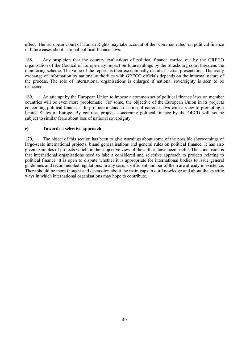effect. The European Court of Human Rights may take account of the "common rules" on political finance in future cases about national political finance laws.

168. Any suspicion that the country evaluations of political finance carried out by the GRECO organisation of the Council of Europe may impact on future rulings by the Strasbourg court threatens the monitoring scheme. The value of the reports is their exceptionally detailed factual presentation. The ready exchange of information by national authorities with GRECO officials depends on the informal nature of the process. The role of international organisations is enlarged if national sovereignty is seen to be respected.

169. An attempt by the European Union to impose a common set of political finance laws on member countries will be even more problematic. For some, the objective of the European Union in its projects concerning political finance is to promote a standardisation of national laws with a view to promoting a United States of Europe. By contrast, projects concerning political finance by the OECD will not be subject to similar fears about loss of national sovereignty.

# **e) Towards a selective approach**

170. The object of this section has been to give warnings about some of the possible shortcomings of large-scale international projects, bland generalisations and general rules on political finance. It has also given examples of projects which, in the subjective view of the author, have been useful. The conclusion is that international organisations need to take a considered and selective approach to projects relating to political finance. It is open to dispute whether it is appropriate for international bodies to issue general guidelines and recommended regulations. In any case, a sufficient number of them are already in existence. There should be more thought and discussion about the main gaps in our knowledge and about the specific ways in which international organisations may hope to contribute.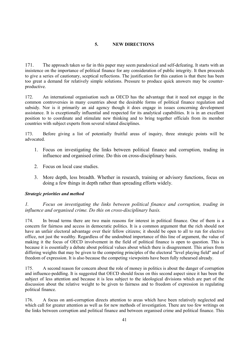# **5. NEW DIRECTIONS**

171. The approach taken so far in this paper may seem paradoxical and self-defeating. It starts with an insistence on the importance of political finance for any consideration of public integrity. It then proceeds to give a series of cautionary, sceptical reflections. The justification for this caution is that there has been too great a demand for relatively simple solutions. Pressure to produce quick answers may be counterproductive.

172. An international organisation such as OECD has the advantage that it need not engage in the common controversies in many countries about the desirable forms of political finance regulation and subsidy. Nor is it primarily an aid agency though it does engage in issues concerning development assistance. It is exceptionally influential and respected for its analytical capabilities. It is in an excellent position to to coordinate and stimulate new thinking and to bring together officials from its member countries with subject experts from several related disciplines.

173. Before giving a list of potentially fruitful areas of inquiry, three strategic points will be advocated.

- 1. Focus on investigating the links between political finance and corruption, trading in influence and organised crime. Do this on cross-disciplinary basis.
- 2. Focus on local case studies.
- 3. More depth, less breadth. Whether in research, training or advisory functions, focus on doing a few things in depth rather than spreading efforts widely.

#### *Strategic priorities and method*

*1. Focus on investigating the links between political finance and corruption, trading in influence and organised crime. Do this on cross-disciplinary basis.* 

174. In broad terms there are two main reasons for interest in political finance. One of them is a concern for fairness and access in democratic politics. It is a common argument that the rich should not have an unfair electoral advantage over their fellow citizens; it should be open to all to run for elective office, not just the wealthy. Regardless of the undoubted importance of this line of argument, the value of making it the focus of OECD involvement in the field of political finance is open to question. This is because it is essentially a debate about political values about which there is disagreement. This arises from differing weights that may be given to the competing principles of the electoral "level playing field" and of freedom of expression. It is also because the competing viewpoints have been fully rehearsed already.

175. A second reason for concern about the role of money in politics is about the danger of corruption and influence-peddling. It is suggested that OECD should focus on this second aspect since it has been the subject of less attention and because it is less subject to the ideological divisions which are part of the discussion about the relative weight to be given to fairness and to freedom of expression in regulating political finance.

176. A focus on anti-corruption directs attention to areas which have been relatively neglected and which call for greater attention as well as for new methods of investigation. There are too few writings on the links between corruption and political finance and between organised crime and political finance. This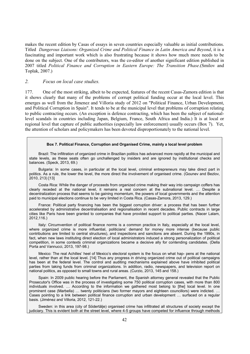makes the recent edition by Casas of essays in seven countries especially valuable as initial contributions. Titled *Dangerous Liaisons: Organized Crime and Political Finance in Latin America and Beyond*, it is a fascinating and important work which is also frustrating because it shows how much more needs to be done on the subject. One of the contributors, was the co-editor of another significant edition published in 2007 titled *Political Finance and Corruption in Eastern Europe: The Transition Phase*.(Smilov and Toplak, 2007.)

#### *2. Focus on local case studies.*

177. One of the most striking, albeit to be expected, features of the recent Casas-Zamora edition is that it shows clearly that many of the problems of corrupt political funding occur at the local level. This emerges as well from the Jimenez and Villoria study of 2012 on "Political Finance, Urban Development, and Political Corruption in Spain". It tends to be at the municipal level that problems of corruption relating to public contracting occurs. (An exception is defence contracting, which has been the subject of nationallevel scandals in countries including Japan, Belgium, France, South Africa and India.) It is at local or regional level that capture of public authorities (especially law enforcement) usually occurs (Box 7). Yet, the attention of scholars and policymakers has been devoted disproportionately to the national level.

#### **Box 7. Political Finance, Corruption and Organised Crime, mainly a local level problem**

Brazil: The infiltration of organized crime in Brazilian politics has advanced more rapidly at the municipal and state levels, as these seats often go unchallenged by insiders and are ignored by institutional checks and balances. (Speck, 2013, 69.)

Bulgaria: In some cases, in particular at the local level, criminal entrepreneurs may take direct part in politics. As a rule, the lower the level, the more direct the involvement of organised crime. (Gounev and Bezlov, 2010, 213) [13]

Costa Rica: While the danger of proceeds from organized crime making their way into campaign coffers has clearly receded at the national level, it remains a real concern at the subnational level. ... Despite a decentralization process that seems to be gaining momentum, the powers of local governments and the attention paid to municipal elections continue to be very limited in Costa Rica. (Casas-Zamora, 2013, 129.)

France: Political party financing has been the biggest corruption driver: a process that has been further accelerated by administrative decentralisation and regionalisation in recent decades. Public contracts in large cities like Paris have been granted to companies that have provided support to political parties. (Nacer Lalam, 2012,116.)

Italy: Circumvention of political finance norms is a common practice in Italy, especially at the local level, where organized crime is more influential, politicians' demand for money more intense (because public contributions are limited to central structures), and inspections and sanctions are absent. During the 1990s, in fact, when new laws instituting direct election of local administrators induced a strong personalization of political competition, in some contexts criminal organizations became a decisive ally for contending candidates. (Della Porta and Vannucci, 2013, 197-98.)

Mexico: The real Achilles' heel of Mexico's electoral system is the focus on what hap- pens at the national level, rather than at the local level. [14] Thus any progress in driving organized crime out of political campaigns has been at the federal level. The control and auditing mechanisms explained above have inhibited political parties from taking funds from criminal organizations. In addition, radio, newspapers, and television report on national politics, as opposed to small towns and rural areas. (Curzio, 2013, 145 and 158.)

Spain: In 2009 public hearing before the Parliament, the Spanish attorney general revealed that the Public Prosecutor's Office was in the process of investigating some 750 political corruption cases, with more than 800 individuals involved. ... According to the information we gathered most belong to [the] local level. In one prominent case (Marbella) ... twenty politicians (two former mayors and eighteen councillors) were indicted. ... Cases pointing to a link between political finance corruption and urban development ... surfaced on a regular basis. (Jiménez and Villoria, 2012, 121-22.)

Sweden: in this area (city of Södertälje) organised crime has infiltrated all structures of society except the judiciary. This is evident both at the street level, where 4-5 groups have competed for influence through methods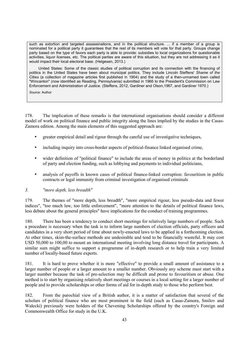such as extortion and targeted assassinations, and in the political structure. ... if a member of a group is nominated for a political party it guarantees that the rest of its members will vote for that party. Groups change party based on the type of favors each party is able to provide: subsidies to local organizations for questionable activities, liquor licenses, etc. The political parties are aware of this situation, but they are not addressing it as it would impact their local electoral base. (Helgesen, 2013.)

United States: Some of the classic studies of political corruption and its connection with the financing of politics in the United States have been about municipal politics. They include Lincoln Steffens' *Shame of the Cities* (a collection of magazine articles first published in 1904) and the study of a then-unnamed town called "Wincanton" (now identified as Reading, Pennsylvania) submitted in 1966 to the President's Commission on Law Enforcement and Administration of Justice. (Steffens, 2012, Gardiner and Olson,1967, and Gardiner 1970.)

*Source:* Author

178. The implication of these remarks is that international organisations should consider a different model of work on political finance and public integrity along the lines implied by the studies in the Casas-Zamora edition. Among the main elements of this suggested approach are:

- greater empirical detail and rigour through the careful use of investigative techniques,
- including inquiry into cross-border aspects of political-finance linked organised crime,
- wider definition of "political finance" to include the areas of money in politics at the borderland of party and election funding, such as lobbying and payments to individual politicians,
- analysis of payoffs in known cases of political finance-linked corruption: favouritism in public contracts or legal immunity from criminal investigation of organised criminals

#### *3. "more depth, less breadth"*

179. The themes of "more depth, less breadth", "more empirical rigour, less pseudo-data and fewer indices", "too much law, too little enforcement", "more attention to the details of political finance laws, less debate about the general principles" have implications for the conduct of training programmes.

180. There has been a tendency to conduct short meetings for relatively large numbers of people. Such a procedure is necessary when the task is to inform large numbers of election officials, party officers and candidates in a very short period of time about newly-enacted laws to be applied in a forthcoming election. At other times, skim-the-surface methods are undesirable and tend to be financially wasteful. It may cost USD 50,000 to 100,00 to mount an international meeting involving long distance travel for participants. A similar sum might suffice to support a programme of in-depth research or to help train a very limited number of locally-based future experts.

181. It is hard to prove whether it is more "effective" to provide a small amount of assistance to a larger number of people or a larger amount to a smaller number. Obviously any scheme must start with a larger number because the task of pre-selection may be difficult and prone to favouritism or abuse. One method is to start by organising relatively short meetings or courses in a local setting for a larger number of people and to provide scholarships or other forms of aid for in-depth study to those who perform best.

182. From the parochial view of a British author, it is a matter of satisfaction that several of the scholars of political finance who are most prominent in the field (such as Casas-Zamora, Smilov and Walecki) previously were holders of the Chevening Scholarships offered by the country's Foreign and Commonwealth Office for study in the U.K.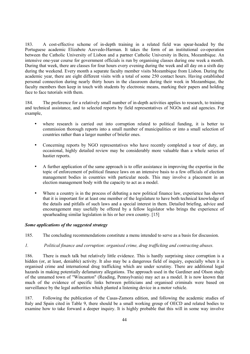183. A cost-effective scheme of in-depth training in a related field was spear-headed by the Portuguese academic Elizabete Azevedo-Harman. It takes the form of an institutional co-operation between the Catholic University of Lisbon and a partner Catholic University in Beira, Mozambique. An intensive one-year course for government officials is run by organising classes during one week a month. During that week, there are classes for four hours every evening during the week and all day on a sixth day during the weekend. Every month a separate faculty member visits Mozambique from Lisbon. During the academic year, there are eight different visits with a total of some 250 contact hours. Having established personal connection during nearly thirty hours in the classroom during their week in Mozambique, the faculty members then keep in touch with students by electronic means, marking their papers and holding face to face tutorials with them.

184. The preference for a relatively small number of in-depth activities applies to research, to training and technical assistance, and to selected reports by field representatives of NGOs and aid agencies. For example,

- where research is carried out into corruption related to political funding, it is better to commission thorough reports into a small number of municipalities or into a small selection of countries rather than a larger number of briefer ones.
- Concerning reports by NGO representatives who have recently completed a tour of duty, an occasional, highly detailed review may be considerably more valuable than a whole series of hastier reports.
- A further application of the same approach is to offer assistance in improving the expertise in the topic of enforcement of political finance laws on an intensive basis to a few officials of election management bodies in countries with particular needs. This may involve a placement in an election management body with the capacity to act as a model.
- Where a country is in the process of debating a new political finance law, experience has shown that it is important for at least one member of the legislature to have both technical knowledge of the details and pitfalls of such laws and a special interest in them. Detailed briefing, advice and encouragement may usefully be offered by a fellow legislator who brings the experience of spearheading similar legislation in his or her own country. [15]

#### *Some applications of the suggested strategy*

185. The concluding recommendations constitute a menu intended to serve as a basis for discussion.

#### *1. Political finance and corruption: organised crime, drug trafficking and contracting abuses.*

186. There is much talk but relatively little evidence. This is hardly surprising since corruption is a hidden (or, at least, deniable) activity. It also may be a dangerous field of inquiry, especially when it is organised crime and international drug trafficking which are under scrutiny. There are additional legal hazards in making potentially defamatory allegations. The approach used in the Gardiner and Olson study of the unnamed town of "Wincanton" (Reading, Pennsylvania) may act as a model. It is now known that much of the evidence of specific links between politicians and organised criminals were based on surveillance by the legal authorities which planted a listening device in a motor vehicle.

187. Following the publication of the Casas-Zamora edition, and following the academic studies of Italy and Spain cited in Table 9, there should be a small working group of OECD and related bodies to examine how to take forward a deeper inquiry. It is highly probable that this will in some way involve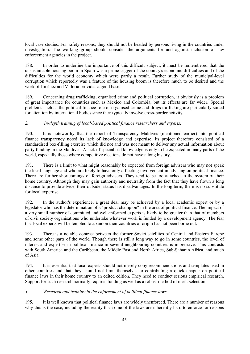local case studies. For safety reasons, they should not be headed by persons living in the countries under investigation. The working group should consider the arguments for and against inclusion of law enforcement agencies in the project.

188. In order to underline the importance of this difficult subject, it must be remembered that the unsustainable housing boom in Spain was a prime trigger of the country's economic difficulties and of the difficulties for the world economy which were partly a result. Further study of the municipal-level corruption which reportedly was a feature of the housing boom is therefore much to be desired and the work of Jiménez and Villoria provides a good base.

189. Concerning drug trafficking, organised crime and political corruption, it obviously is a problem of great importance for countries such as Mexico and Colombia, but its effects are far wider. Special problems such as the political finance role of organised crime and drugs trafficking are particularly suited for attention by international bodies since they typically involve cross-border activity.

# *2. In-depth training of local-based political finance researchers and experts.*

190. It is noteworthy that the report of Transparency Maldives (mentioned earlier) into political finance transparency noted its lack of knowledge and expertise. Its project therefore consisted of a standardised box-filling exercise which did not and was not meant to deliver any actual information about party funding in the Maldives. A lack of specialised knowledge is only to be expected in many parts of the world, especially those where competitive elections do not have a long history.

191. There is a limit to what might reasonably be expected from foreign advisers who may not speak the local language and who are likely to have only a fleeting involvement in advising on political finance. There are further shortcomings of foreign advisers. They tend to be too attached to the system of their home country. Although they may gain authority and neutrality from the fact that they have flown a long distance to provide advice, their outsider status has disadvantages. In the long term, there is no substitute for local expertise.

192. In the author's experience, a great deal may be achieved by a local academic expert or by a legislator who has the determination of a "product champion" in the area of political finance. The impact of a very small number of committed and well-informed experts is likely to be greater than that of members of civil society organisations who undertake whatever work is funded by a development agency. The fear that local experts will be tempted to abandon their countries of origin has not been borne out.

193. There is a notable contrast between the former Soviet satellites of Central and Eastern Europe and some other parts of the world. Though there is still a long way to go in some countries, the level of interest and expertise in political finance in several neighbouring countries is impressive. This contrasts with South America and the Caribbean, the Middle East and North Africa, Sub-Saharan Africa, and much of Asia.

194. It is essential that local experts should not merely copy recommendations and templates used in other countries and that they should not limit themselves to contributing a quick chapter on political finance laws in their home country to an edited edition. They need to conduct serious empirical research. Support for such research normally requires funding as well as a robust method of merit selection.

# *3. Research and training in the enforcement of political finance laws.*

195. It is well known that political finance laws are widely unenforced. There are a number of reasons why this is the case, including the reality that some of the laws are inherently hard to enforce for reasons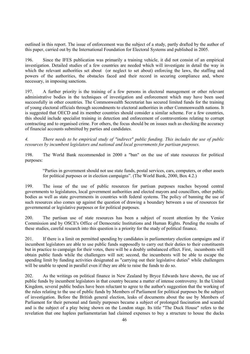outlined in this report. The issue of enforcement was the subject of a study, partly drafted by the author of this paper, carried out by the International Foundation for Electoral Systems and published in 2005.

196. Since the IFES publication was primarily a training vehicle, it did not consist of an empirical investigation. Detailed studies of a few countries are needed which will investigate in detail the way in which the relevant authorities set about (or neglect to set about) enforcing the laws, the staffing and powers of the authorities, the obstacles faced and their record in securing compliance and, where necessary, in imposing sanctions.

197. A further priority is the training of a few persons in electoral management or other relevant administrative bodies in the techniques of investigation and enforcement which may have been used successfully in other countries. The Commonwealth Secretariat has secured limited funds for the training of young electoral officials through secondments to electoral authorities in other Commonwealth nations. It is suggested that OECD and its member countries should consider a similar scheme. For a few countries, this should include specialist training in detection and enforcement of contraventions relating to corrupt contracting and to organised crime. For others, the focus should be on issues such as checking the accuracy of financial accounts submitted by parties and candidates.

*4. There needs to be empirical study of "indirect" public funding. This includes the use of public resources by incumbent legislators and national and local governments for partisan purposes.* 

198. The World Bank recommended in 2000 a "ban" on the use of state resources for political purposes:

"Parties in government should not use state funds, postal services, cars, computers, or other assets for political purposes or in election campaigns". (The World Bank, 2000, Box 4.2.)

199. The issue of the use of public resources for partisan purposes reaches beyond central governments to legislatures, local government authorities and elected mayors and councillors, other public bodies as well as state governments in countries with federal systems. The policy of banning the use of such resources also comes up against the question of drawing a boundary between a use of resources for governmental or legislative purposes or for political purposes.

200. The partisan use of state resources has been a subject of recent attention by the Venice Commission and by OSCE's Office of Democratic Institutions and Human Rights. Pending the results of these studies, careful research into this question is a priority for the study of political finance.

201. If there is a limit on permitted spending by candidates in parliamentary election campaigns and if incumbent legislators are able to use public funds supposedly to carry out their duties to their constituents but in practice to campaign for their votes, there will be a doubly unbalanced effect. First, incumbents will obtain public funds while the challengers will not; second, the incumbents will be able to escape the spending limit by funding activities designated as "carrying out their legislative duties" while challengers will be unable to spend in parallel even if they are able to raise the funds to do so.

202. As the writings on political finance in New Zealand by Bryce Edwards have shown, the use of public funds by incumbent legislators in that country became a matter of intense controversy. In the United Kingdom, several public bodies have been reluctant to agree to the author's suggestion that the working of the rules relating to the use of public funds by Members of Parliament for political purposes be the subject of investigation. Before the British general election, leaks of documents about the use by Members of Parliament for their personal and family purposes became a subject of prolonged fascination and scandal and is the subject of a play being shown on the London stage. Its title "The Duck House" refers to the revelation that one hapless parliamentarian had claimed expenses to buy a structure to house the ducks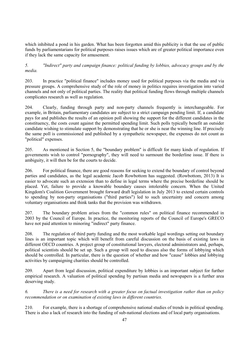which inhibited a pond in his garden. What has been forgotten amid this publicity is that the use of public funds by parliamentarians for political purposes raises issues which are of greater political importance even if they lack the same capacity for amusement.

*5. "Indirect" party and campaign finance: political funding by lobbies, advocacy groups and by the media.* 

203. In practice "political finance" includes money used for political purposes via the media and via pressure groups. A comprehensive study of the role of money in politics requires investigation into varied channels and not only of political parties. The reality that political funding flows through multiple channels complicates research as well as regulation.

204. Clearly, funding through party and non-party channels frequently is interchangeable. For example, in Britain, parliamentary candidates are subject to a strict campaign pending limit. If, a candidate pays for and publishes the results of an opinion poll showing the support for the different candidates in the constituency, the costs count against the permitted spending limit. Such polls typically benefit an outsider candidate wishing to stimulate support by demonstrating that he or she is near the winning line. If precisely the same poll is commissioned and published by a sympathetic newspaper, the expenses do not count as "political" expenses.

205. As mentioned in Section 5, the "boundary problem" is difficult for many kinds of regulation. If governments wish to control "pornography", they will need to surmount the borderline issue. If there is ambiguity, it will then be for the courts to decide.

206. For political finance, there are good reasons for seeking to extend the boundary of control beyond parties and candidates, as the legal academic Jacob Rowbottom has suggested. (Rowbottom, 2013) It is easier to advocate such an extension than to define in legal terms where the precise borderline should be placed. Yet, failure to provide a knowable boundary causes intolerable concern. When the United Kingdom's Coalition Government brought forward draft legislation in July 2013 to extend certain controls to spending by non-party organisations ("third parties") led to such uncertainty and concern among voluntary organisations and think tanks that the provision was withdrawn.

207. The boundary problem arises from the "common rules" on political finance recommended in 2003 by the Council of Europe. In practice, the monitoring reports of the Council of Europe's GRECO have not paid attention to minoring "indirect" party finance.

208. The regulation of third party funding and the most workable legal wordings setting out boundary lines is an important topic which will benefit from careful discussion on the basis of existing laws in different OECD countries. A project group of constitutional lawyers, electoral administrators and, perhaps, political scientists should be set up. Such a group will need to discuss also the forms of lobbying which should be controlled. In particular, there is the question of whether and how "cause" lobbies and lobbying activities by campaigning charities should be controlled.

209. Apart from legal discussion, political expenditure by lobbies is an important subject for further empirical research. A valuation of political spending by partisan media and newspapers is a further area deserving study.

*6. There is a need for research with a greater focus on factual investigation rather than on policy recommendation or on examination of existing laws in different countries.* 

210. For example, there is a shortage of comprehensive national studies of trends in political spending. There is also a lack of research into the funding of sub-national elections and of local party organisations.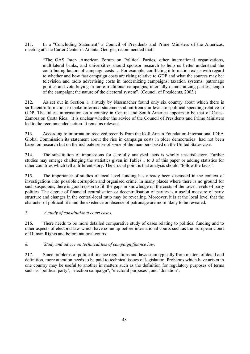211. In a "Concluding Statement" a Council of Presidents and Prime Ministers of the Americas, meeting at The Carter Center in Atlanta, Georgia, recommended that:

"The OAS Inter- American Forum on Political Parties, other international organizations, multilateral banks, and universities should sponsor research to help us better understand the contributing factors of campaign costs … For example, conflicting information exists with regard to whether and how fast campaign costs are rising relative to GDP and what the sources may be: television and radio advertising costs in modernizing campaigns; taxation systems; patronage politics and vote-buying in more traditional campaigns; internally democratizing parties; length of the campaign; the nature of the electoral system". (Council of Presidents, 2003.)

212. As set out in Section 1, a study by Nassmacher found only six country about which there is sufficient information to make informed statements about trends in levels of political spending relative to GDP. The fullest information on a country in Central and South America appears to be that of Casas-Zamora on Costa Rica. It is unclear whether the advice of the Council of Presidents and Prime Ministers led to the recommended action. It remains relevant.

213. According to information received recently from the Kofi Annan Foundation-International IDEA Global Commission its statement about the rise in campaign costs in older democracies had not been based on research but on the inchoate sense of some of the members based on the United States case.

214. The substitution of impressions for carefully analysed facts is wholly unsatisfactory. Further studies may emerge challenging the statistics given in Tables 1 to 3 of this paper or adding statistics for other countries which tell a different story. The crucial point is that analysis should "follow the facts".

215. The importance of studies of local level funding has already been discussed in the context of investigations into possible corruption and organised crime. In many places where there is no ground for such suspicions, there is good reason to fill the gaps in knowledge on the costs of the lower levels of party politics. The degree of financial centralisation or decentralisation of parties is a useful measure of party structure and changes in the central-local ratio may be revealing. Moreover, it is at the local level that the character of political life and the existence or absence of patronage are more likely to be revealed.

#### *7. A study of constitutional court cases.*

216. There needs to be more detailed comparative study of cases relating to political funding and to other aspects of electoral law which have come up before international courts such as the European Court of Human Rights and before national courts.

#### *8. Study and advice on technicalities of campaign finance law.*

217. Since problems of political finance regulations and laws stem typically from matters of detail and definition, more attention needs to be paid to technical issues of legislation. Problems which have arisen in one country may be useful to another in matters such as the definition for regulatory purposes of terms such as "political party", "election campaign", "electoral purposes", and "donation".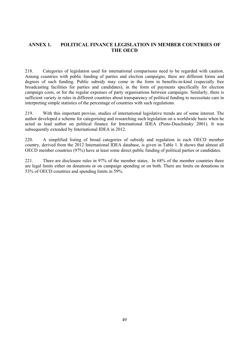# **ANNEX 1. POLITICAL FINANCE LEGISLATION IN MEMBER COUNTRIES OF THE OECD**

218. Categories of legislation used for international comparisons need to be regarded with caution. Among countries with public funding of parties and election campaigns, there are different forms and degrees of such funding. Public subsidy may come in the form in benefits-in-kind (especially free broadcasting facilities for parties and candidates), in the form of payments specifically for election campaign costs, or for the regular expenses of party organisations between campaigns. Similarly, there is sufficient variety in rules in different countries about transparency of political funding to necessitate care in interpreting simple statistics of the percentage of countries with such regulations.

219. With this important proviso, studies of international legislative trends are of some interest. The author developed a scheme for categorising and researching such legislation on a worldwide basis when he acted as lead author on political finance for International IDEA (Pinto-Duschinsky 2001). It was subsequently extended by International IDEA in 2012.

220. A simplified listing of broad categories of subsidy and regulation in each OECD member country, derived from the 2012 International IDEA database, is given in Table 1. It shows that almost all OECD member countries (97%) have at least some direct public funding of political parties or candidates.

221. There are disclosure rules in 97% of the member states. In 68% of the member countries there are legal limits either on donations or on campaign spending or on both. There are limits on donations in 53% of OECD countries and spending limits in 59%.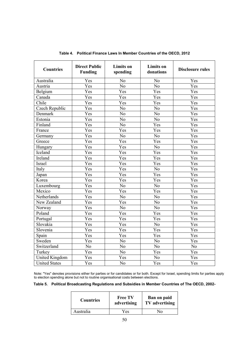| <b>Countries</b>      | <b>Direct Public</b><br><b>Funding</b> | <b>Limits</b> on<br>spending | <b>Limits</b> on<br>donations | <b>Disclosure rules</b> |
|-----------------------|----------------------------------------|------------------------------|-------------------------------|-------------------------|
| Australia             | Yes                                    | N <sub>0</sub>               | N <sub>0</sub>                | Yes                     |
| Austria               | Yes                                    | N <sub>0</sub>               | N <sub>0</sub>                | Yes                     |
| Belgium               | Yes                                    | Yes                          | Yes                           | Yes                     |
| Canada                | Yes                                    | Yes                          | Yes                           | Yes                     |
| Chile                 | Yes                                    | Yes                          | Yes                           | Yes                     |
| Czech Republic        | Yes                                    | N <sub>o</sub>               | N <sub>o</sub>                | Yes                     |
| Denmark               | Yes                                    | N <sub>o</sub>               | N <sub>o</sub>                | Yes                     |
| Estonia               | Yes                                    | N <sub>o</sub>               | N <sub>o</sub>                | Yes                     |
| Finland               | Yes                                    | N <sub>o</sub>               | Yes                           | Yes                     |
| France                | Yes                                    | Yes                          | Yes                           | Yes                     |
| Germany               | Yes                                    | N <sub>o</sub>               | N <sub>o</sub>                | Yes                     |
| Greece                | Yes                                    | Yes                          | Yes                           | Yes                     |
| Hungary               | Yes                                    | Yes                          | N <sub>o</sub>                | Yes                     |
| Iceland               | $\overline{\mathrm{Y}}$ es             | Yes                          | Yes                           | Yes                     |
| Ireland               | Yes                                    | Yes                          | Yes                           | Yes                     |
| Israel                | Yes                                    | Yes                          | Yes                           | Yes                     |
| Italy                 | Yes                                    | Yes                          | N <sub>o</sub>                | Yes                     |
| Japan                 | Yes                                    | Yes                          | Yes                           | Yes                     |
| Korea                 | Yes                                    | Yes                          | Yes                           | Yes                     |
| Luxembourg            | Yes                                    | No                           | N <sub>o</sub>                | Yes                     |
| Mexico                | Yes                                    | Yes                          | Yes                           | Yes                     |
| Netherlands           | Yes                                    | N <sub>o</sub>               | N <sub>o</sub>                | Yes                     |
| New Zealand           | Yes                                    | Yes                          | N <sub>o</sub>                | Yes                     |
| Norway                | Yes                                    | N <sub>o</sub>               | N <sub>o</sub>                | Yes                     |
| Poland                | Yes                                    | Yes                          | Yes                           | Yes                     |
| Portugal              | Yes                                    | Yes                          | Yes                           | Yes                     |
| Slovakia              | Yes                                    | Yes                          | N <sub>0</sub>                | Yes                     |
| Slovenia              | Yes                                    | Yes                          | Yes                           | Yes                     |
| Spain                 | Yes                                    | Yes                          | Yes                           | Yes                     |
| Sweden                | Yes                                    | N <sub>o</sub>               | N <sub>o</sub>                | Yes                     |
| Switzerland           | $\overline{No}$                        | N <sub>o</sub>               | N <sub>o</sub>                | N <sub>0</sub>          |
| Turkey                | Yes                                    | N <sub>o</sub>               | Yes                           | Yes                     |
| <b>United Kingdom</b> | Yes                                    | Yes                          | No                            | Yes                     |
| <b>United States</b>  | Yes                                    | No                           | Yes                           | Yes                     |

**Table 4. Political Finance Laws In Member Countries of the OECD, 2012** 

Note: "Yes" denotes provisions either for parties or for candidates or for both. Except for Israel, spending limits for parties apply to election spending alone but not to routine organisational costs between elections.

#### **Table 5. Political Broadcasting Regulations and Subsidies in Member Countries of The OECD, 2002-**

| <b>Countries</b> | <b>Free TV</b><br>advertising | Ban on paid<br>TV advertising |
|------------------|-------------------------------|-------------------------------|
| Australia        | Yes                           | N٥                            |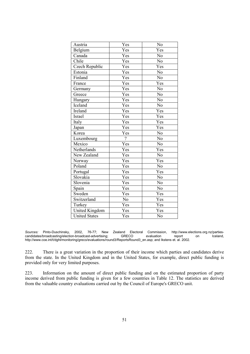| Austria               | Yes            | No             |
|-----------------------|----------------|----------------|
| Belgium               | Yes            | Yes            |
| Canada                | Yes            | N <sub>o</sub> |
| Chile                 | Yes            | N <sub>0</sub> |
| Czech Republic        | Yes            | Yes            |
| Estonia               | Yes            | N <sub>o</sub> |
| Finland               | Yes            | N <sub>o</sub> |
| France                | Yes            | Yes            |
| Germany               | Yes            | No             |
| Greece                | Yes            | N <sub>o</sub> |
| Hungary               | Yes            | No             |
| Iceland               | Yes            | No             |
| Ireland               | Yes            | Yes            |
| <b>Israel</b>         | Yes            | Yes            |
| Italy                 | Yes            | Yes            |
| Japan                 | Yes            | Yes            |
| Korea                 | Yes            | N <sub>o</sub> |
| Luxembourg            | $\gamma$       | N <sub>0</sub> |
| Mexico                | Yes            | N <sub>o</sub> |
| Netherlands           | Yes            | Yes            |
| New Zealand           | Yes            | No             |
| Norway                | Yes            | Yes            |
| Poland                | Yes            | N <sub>0</sub> |
| Portugal              | Yes            | Yes            |
| Slovakia              | Yes            | No             |
| Slovenia              | Yes            | N <sub>0</sub> |
| Spain                 | Yes            | No             |
| Sweden                | Yes            | Yes            |
| Switzerland           | N <sub>o</sub> | Yes            |
| Turkey                | Yes            | Yes            |
| <b>United Kingdom</b> | Yes            | Yes            |
| <b>United States</b>  | Yes            | No             |

*Sources:* Pinto-Duschinsky, 2002, 76-77; New Zealand Electoral Commission, http://www.elections.org.nz/partiescandidates/broadcasting/election-broadcast-advertising; http://www.coe.int/t/dghl/monitoring/greco/evaluations/round3/ReportsRound3\_en.asp; and Ikstens et. al. 2002.

222. There is a great variation in the proportion of their income which parties and candidates derive from the state. In the United Kingdom and in the United States, for example, direct public funding is provided only for very limited purposes.

223. Information on the amount of direct public funding and on the estimated proportion of party income derived from public funding is given for a few countries in Table 12. The statistics are derived from the valuable country evaluations carried out by the Council of Europe's GRECO unit.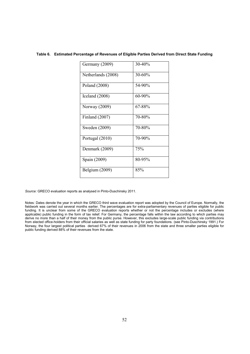#### **Table 6. Estimated Percentage of Revenues of Eligible Parties Derived from Direct State Funding**

| Germany (2009)        | 30-40% |
|-----------------------|--------|
| Netherlands (2008)    | 30-60% |
| Poland (2008)         | 54-90% |
| Iceland (2008)        | 60-90% |
| Norway (2009)         | 67-88% |
| <b>Finland</b> (2007) | 70-80% |
| Sweden (2009)         | 70-80% |
| Portugal (2010)       | 70-90% |
| Denmark (2009)        | 75%    |
| Spain (2009)          | 80-95% |
| Belgium (2009)        | 85%    |

*Source:* GRECO evaluation reports as analysed in Pinto-Duschinsky 2011.

Notes: Dates denote the year in which the GRECO third wave evaluation report was adopted by the Council of Europe. Normally, the fieldwork was carried out several months earlier. The percentages are for extra-parliamentary revenues of parties eligible for public funding. It is unclear from some of the GRECO evaluation reports whether or not the percentage includes or excludes (where applicable) public funding in the form of tax relief. For Germany, the percentage falls within the law according to which parties may derive no more than a half of their money from the public purse. However, this excludes large-scale public funding via contributions from elected office-holders from their official salaries as well as state funding for party foundations. (see Pinto-Duschinsky 1991.) For Norway, the four largest political parties derived 67% of their revenues in 2006 from the state and three smaller parties eligible for public funding derived 88% of their revenues from the state.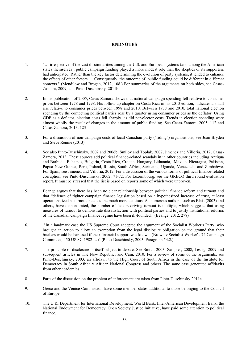#### **ENDNOTES**

- 1. "… irrespective of the vast dissimilarities among the U.S. and European systems (and among the American states themselves), public campaign funding played a more modest role than the skeptics or its supporters had anticipated. Rather than the key factor determining the evolution of party systems, it tended to enhance the effects of other factors … Consequently, the outcome of public funding could be different in different contexts." (Mendilow and Brogan, 2012, 108.) For summaries of the arguments on both sides, see Casas-Zamora, 2009, and Pinto-Duschinsky, 2011b.
- 2. In his publication of 2005, Casas-Zamora shows that national campaign spending fell relative to consumer prices between 1978 and 1998. His follow-up chapter on Costa Rica in his 2013 edition, indicates a small rise relative to consumer prices between 1998 and 2010. Between 1978 and 2010, total national election spending by the competing political parties rose by a quarter using consumer prices as the deflator. Using GDP as a deflator, election costs fell sharply, as did per-elector costs. Trends in election spending were almost wholly the result of changes in the amount of public funding. See Casas-Zamora, 2005, 112 and Casas-Zamora, 2013, 123
- 3. For a discussion of non-campaign costs of local Canadian party ("riding") organisations, see Joan Bryden and Steve Rennie (2013).
- 4. See also Pinto-Duschinsky, 2002 and 2006b, Smilov and Toplak, 2007, Jimenez and Villoria, 2012, Casas-Zamora, 2013. These sources add political finance-related scandals in in other countries including Antigua and Barbuda, Bahamas, Bulgaria, Costa Rica, Croatia, Hungary, Lithuania, Mexico, Nicaragua, Pakistan, Papua New Guinea, Peru, Poland, Russia, South Africa, Suriname, Uganda, Venezuela, and Zimbabwe. For Spain, see Jimenez and Villoria, 2012. For a discussion of the various forms of political finance-related corruption, see Pinto-Duschinsky, 2002, 71-72. For Luxembourg, see the GRECO third round evaluation report. It must be stressed that the list is based on reports some of which were unproven.
- 5. Beange argues that there has been no clear relationship between political finance reform and turnout and that "defence of tighter campaign finance legislation based on a hypothesized increase of trust, at least operationalized as turnout, needs to be much more cautious. As numerous authors, such as Blais (2003) and others, have demonstrated, the number of factors driving turnout is multiple, which suggests that using measures of turnout to demonstrate dissatisfaction with political parties and to justify institutional reforms of the Canadian campaign finance regime have been ill-founded." (Beange, 2012, 278)
- 6. "In a landmark case the US Supreme Court accepted the argument of the Socialist Worker's Party, who brought an action to allow an exemption from the legal disclosure obligation on the ground that their backers would be harassed if their financial support was known. (Brown v Socialist Worker's '74 Campaign Committee, 450 US 87, 1982 …)" (Pinto-Duschinsky, 2003, Paragraph 54.2.)
- 7. The principle of disclosure is itself subject to debate. See Smith, 2003, Samples, 2008, Lessig, 2009 and subsequent articles in The New Republic, and Cain, 2010. For a review of some of the arguments, see Pinto-Duschinsky, 2003, an affidavit to the High Court of South Africa in the case of the Institute for Democracy in South Africa v African National Congress and others. The same case generated affidavits from other academics.
- 8. Parts of the discussion on the problem of enforcement are taken from Pinto-Duschinsky 2011a
- 9. Greco and the Venice Commission have some member states additional to those belonging to the Council of Europe.
- 10. The U.K. Department for International Development, World Bank, Inter-American Development Bank, the National Endowment for Democracy, Open Society Justice Initiative, have paid some attention to political finance.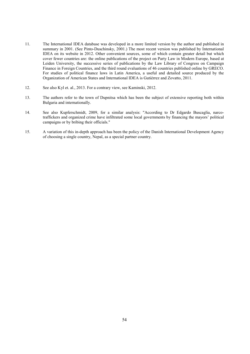- 11. The International IDEA database was developed in a more limited version by the author and published in summary in 2001. (See Pinto-Duschinsky, 2001.) The most recent version was published by International IDEA on its website in 2012. Other convenient sources, some of which contain greater detail but which cover fewer countries are: the online publications of the project on Party Law in Modern Europe, based at Leiden University, the successive series of publications by the Law Library of Congress on Campaign Finance in Foreign Countries, and the third round evaluations of 46 countries published online by GRECO. For studies of political finance laws in Latin America, a useful and detailed source produced by the Organization of American States and International IDEA is Gutiérrez and Zovatto, 2011.
- 12. See also Kyl et. al., 2013. For a contrary view, see Kaminski, 2012.
- 13. The authors refer to the town of Dupnitsa which has been the subject of extensive reporting both within Bulgaria and internationally.
- 14. See also Kupferschmidt, 2009, for a similar analysis: "According to Dr Edgardo Buscaglia, narcotraffickers and organized crime have infiltrated some local governments by financing the mayors' political campaigns or by bribing their officials."
- 15. A variation of this in-depth approach has been the policy of the Danish International Development Agency of choosing a single country, Nepal, as a special partner country.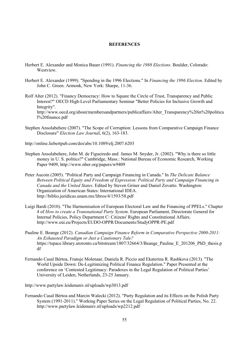#### **REFERENCES**

- Herbert E. Alexander and Monica Bauer (1991). *Financing the 1988 Elections.* Boulder, Colorado: **Westview.**
- Herbert E. Alexander (1999). "Spending in the 1996 Elections." In *Financing the 1996 Election*. Edited by John C. Green. Armonk, New York: Sharpe, 11-36.
- Rolf Alter (2012). "Financy Democracy: How to Square the Circle of Trust, Transparency and Public Interest?" OECD High-Level Parliamentary Seminar "Better Policies for Inclusive Growth and Integrity".

http://www.oecd.org/about/membersandpartners/publicaffairs/Alter\_Transparency%20in%20politica l%20finance.pdf

Stephen Ansolabehere (2007). "The Scope of Corruption: Lessons from Comparative Campaign Finance Disclosure" *Election Law Journa*l, 6(2), 163-183.

http://online.liebertpub.com/doi/abs/10.1089/elj.2007.6203

- Stephen Ansolabehere, John M. de Figueiredo and James M. Snyder, Jr. (2002). "Why is there so little money in U. S. politics?" Cambridge, Mass.: National Bureau of Economic Research, Working Paper 9409, http://www.nber.org/papers/w9409
- Peter Aucoin (2005). "Political Party and Campaign Financing in Canada." In *The Delicate Balance Between Political Equity and Freedom of Expression: Political Party and Campaign Financing in Canada and the United States*. Edited by Steven Griner and Daniel Zovatto. Washington: Organization of American States: International IDEA. http://biblio.juridicas.unam.mx/libros/4/1593/58.pdf
- Luigi Bardi (2010). "The Harmonisation of European Electoral Law and the Financing of PPELs." Chapter 4 of *How to create a Transnational Party System*. European Parliament, Directorate General for Internal Policies, Policy Department C: Citizens' Rights and Constitutional Affairs. http://www.eui.eu/Projects/EUDO-OPPR/Documents/StudyOPPR-PE.pdf
- Pauline E. Beange (2012). *Canadian Campaign Finance Reform in Comparative Perspective 2000-2011: An Exhausted Paradigm or Just a Cautionary Tale?* https://tspace.library.utoronto.ca/bitstream/1807/32664/3/Beange\_Pauline\_E\_201206\_PhD\_thesis.p df
- Fernando Casal Bértoa, Fransje Molenaar, Daniela R. Piccio and Ekaterina R. Rashkova (2013). "The World Upside Down: De-Legitimizing Political Finance Regulation." Paper Presented at the conference on 'Contested Legitimacy: Paradoxes in the Legal Regulation of Political Parties' University of Leiden, Netherlands, 23-25 January.

http://www.partylaw.leidenuniv.nl/uploads/wp3013.pdf

Fernando Casal Bértoa and Marcin Walecki (2012). "Party Regulation and its Effects on the Polish Party System (1991-2011)." Working Paper Series on the Legal Regulation of Political Parties, No. 22. http://www.partylaw.leidenuniv.nl/uploads/wp2212.pdf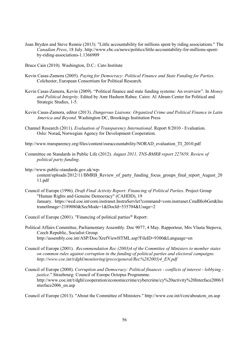- Joan Bryden and Steve Rennie (2013). "Little accountability for millions spent by riding associations." The *Canadian Press*, 18 July. http://www.cbc.ca/news/politics/little-accountability-for-millions-spentby-riding-associations-1.1366909
- Bruce Cain (2010). Washington, D.C.: Cato Institute
- Kevin Casas-Zamora (2005). *Paying for Democracy: Political Finance and State Funding for Parties*. Colchester, European Consortium for Political Research.
- Kevin Casas-Zamora, Kevin (2009). "Political finance and state funding systems: An overview". In *Money and Political Integrity*. Edited by Amr Hashem Rabee. Cairo: Al Ahram Center for Political and Strategic Studies, 1-5.
- Kevin Casas-Zamora, editor (2013). *Dangerous Liaisons: Organized Crime and Political Finance in Latin America and Beyond*. Washington DC, Brookings Institution Press
- Channel Research (2011). *Evaluation of Transparency International*. Report 8/2010 Evaluation. Oslo: Norad**,** Norwegian Agency for Development Cooperation.
- http://www.transparency.org/files/content/ouraccountability/NORAD\_evaluation\_TI\_2010.pdf
- Committee on Standards in Public Life (2012). *August 2011, TNS-BMRB report 227659, Review of political party funding*.
- http://www.public-standards.gov.uk/wp
	- content/uploads/2012/11/BMRB\_Review\_of\_party\_funding\_focus\_groups\_final\_report\_August\_20 11.pdf
- Council of Europe (1996). *Draft Final Activity Report: Financing of Political Parties*. Project Group "Human Rights and Genuine Democracy" (CAHDD), 19 January. https://wcd.coe.int/com.instranet.InstraServlet?command=com.instranet.CmdBlobGet&Ins tranetImage=2189080&SecMode=1&DocId=535704&Usage=2
- Council of Europe (2001). "Financing of political parties**"** Report:
- Political Affairs Committee, Parliamentary Assembly. Doc 9077, 4 May. Rapporteur, Mrs Vlasta Stepova, Czech Republic, Socialist Group. http://assembly.coe.int/ASP/Doc/XrefViewHTML.asp?FileID=9300&Language=en
- Council of Europe (2001). *Recommendation Rec (2003)4 of the Committee of Ministers to member states on common rules against corruption in the funding of political parties and electoral campaigns. http://www.coe.int/t/dghl/monitoring/greco/general/Rec%282003)4\_EN.pdf*
- Council of Europe (2008). *Corruption and Democracy: Political finances conflicts of interest lobbying justice*." Strasbourg: Council of Europe Octopus Programme. http://www.coe.int/t/dghl/cooperation/economiccrime/cybercrime/cy%20activity%20Interface2006/I nterface2006\_en.asp

Council of Europe (2013). "About the Committee of Ministers." http://www.coe.int/t/cm/aboutcm\_en.asp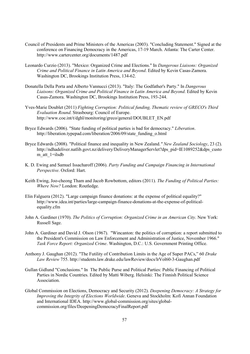- Council of Presidents and Prime Ministers of the Americas (2003). "Concluding Statement." Signed at the conference on Financing Democracy in the Americas, 17-19 March. Atlanta: The Carter Center. http://www.cartercenter.org/documents/1487.pdf
- Leonardo Curzio (2013). "Mexico: Organized Crime and Elections." In *Dangerous Liaisons: Organized Crime and Political Finance in Latin America and Beyond*. Edited by Kevin Casas-Zamora. Washington DC, Brookings Institution Press, 134-62.
- Donatella Della Porta and Alberto Vannucci (2013). "Italy: The Godfather's Party." In *Dangerous Liaisons: Organized Crime and Political Finance in Latin America and Beyond*. Edited by Kevin Casas-Zamora. Washington DC, Brookings Institution Press, 193-244.
- Yves-Marie Doublet (2011) *Fighting Corruption: Political funding, Thematic review of GRECO's Third Evaluation Round*. Strasbourg: Council of Europe. http://www.coe.int/t/dghl/monitoring/greco/general/DOUBLET\_EN.pdf
- Bryce Edwards (2006). "State funding of political parties is bad for democracy." *Liberation*. http://liberation.typepad.com/liberation/2006/09/state\_funding\_o.html
- Bryce Edwards (2008). "Political finance and inequality in New Zealand.*" New Zealand Sociology*, 23 (2). http://ndhadeliver.natlib.govt.nz/delivery/DeliveryManagerServlet?dps\_pid=IE1089252&dps\_custo m\_att\_1=ilsdb
- K. D. Ewing and Samuel Issacharoff (2006). *Party Funding and Campaign Financing in International Perspective*. Oxford: Hart.
- Keith Ewing, Joo-cheong Tham and Jacob Rowbottom, editors (2011). *The Funding of Political Parties: Where Now?* London: Routledge.
- Elin Falguera (2012). "Large campaign finance donations: at the expense of political equality?" http://www.idea.int/parties/large-campaign-finance-donations-at-the-expense-of-politicalequality.cfm
- John A. Gardiner (1970). *The Politics of Corruption: Organized Crime in an American City*. New York: Russell Sage.
- John A. Gardiner and David J. Olson (1967). "Wincanton: the politics of corruption: a report submitted to the President's Commission on Law Enforcement and Administration of Justice, November 1966." *Task Force Report: Organized Crime*. Washington, D.C.: U.S. Government Printing Office.
- Anthony J. Gaughan (2012). "The Futility of Contribution Limits in the Age of Super PACs," 60 *Drake Law Review* 755. http://students.law.drake.edu/lawReview/docs/lrVol60-3-Gaughan.pdf
- Gullan Gidlund "Conclusions." In The Public Purse and Political Parties: Public Financing of Political Parties in Nordic Countries. Edited by Matti Wiberg. Helsinki: The Finnish Political Science Association.
- Global Commission on Elections, Democracy and Security (2012). *Deepening Democracy: A Strategy for Improving the Integrity of Elections Worldwide*. Geneva and Stockholm: Kofi Annan Foundation and International IDEA. http://www.global-commission.org/sites/globalcommission.org/files/DeepeningDemocracyFinalReport.pdf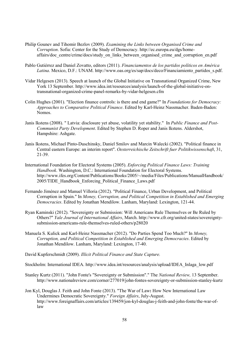- Philip Gounev and Tihomir Bezlov (2009). *Examining the Links between Organised Crime and Corruption*. Sofia: Center for the Study of Democracy. http://ec.europa.eu/dgs/homeaffairs/doc\_centre/crime/docs/study\_on\_links\_between\_organised\_crime\_and\_corruption\_en.pdf
- Pablo Gutiérrez and Daniel Zovatto, editors (2011). *Financiamentos de los partidos políticos en América Latina*. Mexico, D.F.: UNAM. http://www.oas.org/es/sap/docs/deco/Financiamiento\_partidos\_s.pdf.
- Vidar Helgesen (2013). Speech at launch of the Global Initiative on Transnational Organized Crime, New York 13 September. http://www.idea.int/resources/analysis/launch-of-the-global-initiative-ontransnational-organized-crime-panel-remarks-by-vidar-helgesen.cfm
- Colin Hughes (2001). "Election finance controls: is there and end game?" In *Foundations for Democracy: Approaches to Comparative Political Finance*. Edited by Karl-Heinz Nassmacher. Baden-Baden: Nomos.
- Janis Ikstens (2008). " Latvia: disclosure yet abuse, volatility yet stability." In *Public Finance and Post-Communist Party Development*. Edited by Stephen D. Roper and Janis Ikstens. Aldershot, Hampshire: Ashgate.
- Janis Ikstens, Michael Pinto-Duschinsky, Daniel Smilov and Marcin Walecki (2002). "Political finance in Central eastern Europe: an interim report". *Oesterreichische Zeitschrift fuer Politikwissenschaft*, 31, 21-39.
- International Foundation for Electoral Systems (2005). *Enforcing Political Finance Laws: Training Handbook*. Washington, D.C.: International Foundation for Electoral Systems. http://www.ifes.org/Content/Publications/Books/2005/~/media/Files/Publications/ManualHandbook/ 2005/TIDE\_Handbook\_Enforcing\_Political\_Finance\_Laws.pdf
- Fernando Jiménez and Manuel Villoria (2012). "Political Finance, Urban Development, and Political Corruption in Spain." In *Money, Corruption, and Political Competition in Established and Emerging Democracies*. Edited by Jonathan Mendilow. Lanham, Maryland: Lexington, 121-44.
- Ryan Kaminski (2012). "Sovereignty or Submission: Will Americans Rule Themselves or Be Ruled by Others?" *Yale Journal of International Affairs*, March. http://www.cfr.org/united-states/sovereigntysubmission-americans-rule-themselves-ruled-others/p28020
- Manuela S. Kulick and Karl-Heinz Nassmacher (2012). "Do Parties Spend Too Much?" In *Money, Corruption, and Political Competition in Established and Emerging Democracies*. Edited by Jonathan Mendilow. Lanham, Maryland: Lexington, 17-40.

David Kupferschmidt (2009). *Illicit Political Finance and State Capture.*

Stockholm: International IDEA. http://www.idea.int/resources/analysis/upload/IDEA\_Inlaga\_low.pdf

Stanley Kurtz (2011). "John Fonte's "Sovereignty or Submission"." The *National Review,* 13 September. http://www.nationalreview.com/corner/277019/john-fontes-sovereignty-or-submission-stanley-kurtz

Jon Kyl, Douglas J. Feith and John Fonte (2013). "The War of Law**:** How New International Law Undermines Democratic Sovereignty." *Foreign Affairs*, July-August. http://www.foreignaffairs.com/articles/139459/jon-kyl-douglas-j-feith-and-john-fonte/the-war-oflaw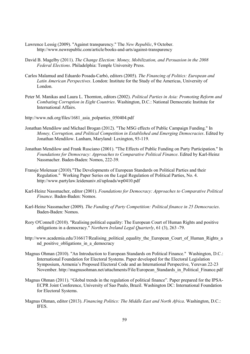- Lawrence Lessig (2009). "Against transparency." The *New Republic*, 9 October. http://www.newrepublic.com/article/books-and-arts/against-transparency
- David B. Magelby (2011). *The Change Election: Money, Mobilization, and Persuasion in the 2008 Federal Elections*. Philadelphia: Temple University Press.
- Carlos Malamud and Eduardo Posada-Carbó, editors (2005). *The Financing of Politics: European and Latin American Perspectives*. London: Institute for the Study of the Americas, University of London.
- Peter M. Manikas and Laura L. Thornton, editors (2002). *Political Parties in Asia: Promoting Reform and Combating Corruption in Eight Countries*. Washington, D.C.: National Democratic Institute for International Affairs.
- http://www.ndi.org/files/1681 asia\_polparties\_050404.pdf
- Jonathan Mendilow and Michael Brogan (2012). "The MSG effects of Public Campaign Funding." In *Money, Corruption, and Political Competition in Established and Emerging Democracies*. Edited by Jonathan Mendilow. Lanham, Maryland: Lexington, 93-119.
- Jonathan Mendilow and Frank Rusciano (2001). "The Effects of Public Funding on Party Participation." In *Foundations for Democracy: Approaches to Comparative Political Finance*. Edited by Karl-Heinz Nassmacher. Baden-Baden: Nomos, 222-39.
- Fransje Molenaar (2010)."The Developments of European Standards on Political Parties and their Regulation." Working Paper Series on the Legal Regulation of Political Parties, No. 4. http://www.partylaw.leidenuniv.nl/uploads/wp0410.pdf
- Karl-Heinz Nassmacher, editor (2001). *Foundations for Democracy: Approaches to Comparative Political Finance*. Baden-Baden: Nomos.
- Karl-Heinz Nassmacher (2009). *The Funding of Party Competition: Political finance in 25 Democracies*. Baden-Baden: Nomos.
- Rory O'Connell (2010). "Realising political equality: The European Court of Human Rights and positive obligations in a democracy." *Northern Ireland Legal Quarterly*, 61 (3), 263 -79.
- http://www.academia.edu/316617/Realising political equality the European Court of Human Rights a nd positive obligations in a democracy
- Magnus Ohman (2010). "An Introduction to European Standards on Political Finance." Washington, D.C.: International Foundation for Electoral Systems. Paper developed for the Electoral Legislation Symposium, Armenia's Proposed Electoral Code and an International Perspective, Yerevan 22-23 November. http://magnusohman.net/attachments/File/European\_Standards\_in\_Political\_Finance.pdf
- Magnus Ohman (2011). "Global trends in the regulation of political finance". Paper prepared for the IPSA-ECPR Joint Conference, University of Sao Paulo, Brazil. Washington DC: International Foundation for Electoral Systems.
- Magnus Ohman, editor (2013). *Financing Politics: The Middle East and North Africa*. Washington, D.C.: IFES.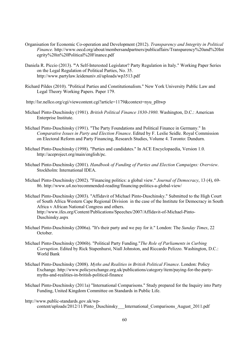- Organisation for Economic Co-operation and Development (2012). *Transparency and Integrity in Political Finance.* http://www.oecd.org/about/membersandpartners/publicaffairs/Transparency%20and%20Int egrity%20in%20Political%20Finance.pdf
- Daniela R. Piccio (2013). **"**A Self-Interested Legislator? Party Regulation in Italy." Working Paper Series on the Legal Regulation of Political Parties, No. 35. http://www.partylaw.leidenuniv.nl/uploads/wp3513.pdf
- Richard Pildes (2010). "Political Parties and Constitutionalism." New York University Public Law and Legal Theory Working Papers. Paper 179.
- http://lsr.nellco.org/cgi/viewcontent.cgi?article=1179&context=nyu\_plltwp
- Michael Pinto-Duschinsky (1981). *British Political Finance 1830-1980*. Washington, D.C.: American Enterprise Institute.
- Michael Pinto-Duschinsky (1991). "The Party Foundations and Political Finance in Germany." In *Comparative Issues in Party and Election Finance*. Edited by F. Leslie Seidle. Royal Commission on Electoral Reform and Party Financing, Research Studies, Volume 4. Toronto: Dundurn.
- Michael Pinto-Duschinsky (1998). "Parties and candidates." In ACE Encyclopaedia, Version 1.0. http://aceproject.org/main/english/pc.
- Michael Pinto-Duschinsky (2001). *Handbook of Funding of Parties and Election Campaigns: Overview*. Stockholm: International IDEA.
- Michael Pinto-Duschinsky (2002). "Financing politics: a global view." *Journal of Democracy*, 13 (4), 69- 86. http://www.u4.no/recommended-reading/financing-politics-a-global-view/
- Michael Pinto-Duschinsky (2003). "Affidavit of Michael Pinto-Duschinsky." Submitted to the High Court of South Africa Western Cape Regional Division in the case of the Institute for Democracy in South Africa v African National Congress and others. http://www.ifes.org/Content/Publications/Speeches/2007/Affidavit-of-Michael-Pinto-Duschinsky.aspx
- Michael Pinto-Duschinsky (2006a). "It's their party and we pay for it." London: The *Sunday Times*, 22 October.
- Michael Pinto-Duschinsky (2006b). "Political Party Funding."*The Role of Parliaments in Curbing Corruption*. Edited by Rick Stapenhurst, Niall Johnston, and Riccardo Pelizzo. Washington, D.C.: World Bank
- Michael Pinto-Duschinsky (2008). *Myths and Realities in British Political Finance*. London: Policy Exchange. http://www.policyexchange.org.uk/publications/category/item/paying-for-the-partymyths-and-realities-in-british-political-finance
- Michael Pinto-Duschinsky (2011a) "International Comparisons." Study prepared for the Inquiry into Party Funding, United Kingdom Committee on Standards in Public Life.
- http://www.public-standards.gov.uk/wpcontent/uploads/2012/11/Pinto\_Duschinsky\_\_\_International\_Comparisons\_August\_2011.pdf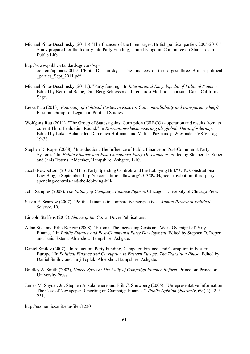- Michael Pinto-Duschinsky (2011b) "The finances of the three largest British political parties, 2005-2010." Study prepared for the Inquiry into Party Funding, United Kingdom Committee on Standards in Public Life.
- http://www.public-standards.gov.uk/wp
	- content/uploads/2012/11/Pinto\_Duschinsky\_\_\_The\_finances\_of\_the\_largest\_three\_British\_political \_parties\_Sept\_2011.pdf
- Michael Pinto-Duschinsky (2011c). "Party funding." In *International Encyclopedia of Political Science*. Edited by Bertrand Badie, Dirk Berg-Schlosser and Leonardo Morlino. Thousand Oaks, California : Sage.
- Ereza Pula (2013). *Financing of Political Parties in Kosovo: Can controllability and transparency help*? Pristina: Group for Legal and Political Studies.
- Wolfgang Rau (2011). "The Group of States against Corruption (GRECO) operation and results from its current Third Evaluation Round." In *Korruptionssbekaemperung als globale Herausforderung*. Edited by Lukas Achathaler, Domenica Hofmann and Mattias Pazmandy. Wiesbaden: VS Verlag, 19-36.
- Stephen D. Roper (2008). "Introduction: The Influence of Public Finance on Post-Communist Party Systems." In *Public Finance and Post-Communist Party Development*. Edited by Stephen D. Roper and Janis Ikstens. Aldershot, Hampshire: Ashgate, 1-10.
- Jacob Rowbottom (2013). "Third Party Spending Controls and the Lobbying Bill." U.K. Constitutional Law Blog, 5 September. http://ukconstitutionallaw.org/2013/09/04/jacob-rowbottom-third-partyspending-controls-and-the-lobbying-bill/

John Samples (2008). *The Fallacy of Campaign Finance Reform*. Chicago: University of Chicago Press

- Susan E. Scarrow (2007). "Political finance in comparative perspective." *Annual Review of Political Science*, 10.
- Lincoln Steffens (2012). *Shame of the Cities*. Dover Publications.
- Allan Sikk and Riho Kangur (2008). "Estonia: The Increasing Costs and Weak Oversight of Party Finance." In *Public Finance and Post-Communist Party Development*. Edited by Stephen D. Roper and Janis Ikstens. Aldershot, Hampshire: Ashgate.
- Daniel Smilov (2007). "Introduction: Party Funding, Campaign Finance, and Corruption in Eastern Europe." In *Political Finance and Corruption in Eastern Europe: The Transition Phase*. Edited by Daniel Smilov and Jurij Toplak. Aldershot, Hampshire: Ashgate.
- Bradley A. Smith (2003), *Unfree Speech: The Folly of Campaign Finance Reform*. Princeton: Princeton University Press
- James M. Snyder, Jr., Stephen Ansolabehere and Erik C. Snowberg (2005). "Unrepresentative Information: The Case of Newspaper Reporting on Campaign Finance." *Public Opinion Quarterly*, 69 ( 2), 213- 231.

http://economics.mit.edu/files/1220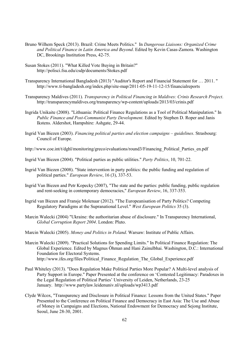- Bruno Wilhem Speck (2013). Brazil: Crime Meets Politics." In *Dangerous Liaisons: Organized Crime and Political Finance in Latin America and Beyond*. Edited by Kevin Casas-Zamora. Washington DC, Brookings Institution Press, 42-75.
- Susan Stokes (2011). "What Killed Vote Buying in Britain?" http://polisci.fsu.edu/csdp/documents/Stokes.pdf
- Transparency International Bangladesh (2013) "Auditor's Report and Financial Statement for … 2011. " http://www.ti-bangladesh.org/index.php/site-map/2011-05-19-11-12-15/financialreports
- Transparency Maldives (2011). *Transparency in Political Financing in Maldives: Crinis Research Project*. http://transparencymaldives.org/transparency/wp-content/uploads/2013/03/crinis.pdf
- Ingrida Unikaite (2008). "Lithuania: Political Finance Regulations as a Tool of Political Manipulation." In *Public Finance and Post-Communist Party Development*. Edited by Stephen D. Roper and Janis Ikstens. Aldershot, Hampshire: Ashgate, 29-44.
- Ingrid Van Biezen (2003). *Financing political parties and election campaigns guidelines*. Strasbourg: Council of Europe.
- http://www.coe.int/t/dghl/monitoring/greco/evaluations/round3/Financing\_Political\_Parties\_en.pdf
- Ingrid Van Biezen (2004). "Political parties as public utilities." *Party Politics*, 10, 701-22.
- Ingrid Van Biezen (2008). "State intervention in party politics: the public funding and regulation of political parties." *European Review*, 16 (3), 337-53.
- Ingrid Van Biezen and Petr Kopecky (2007), "The state and the parties: public funding, public regulation and rent-seeking in contemporary democracies," *European Review*, 16, 337-353.
- Ingrid van Biezen and Fransje Molenaar (2012). "The Europeanisation of Party Politics? Competing Regulatory Paradigms at the Supranational Level." *West European Politics* 35 (3).
- Marcin Walecki (2004) "Ukraine: the authoritarian abuse of disclosure." In Transparency International, *Global Corruption Report 2004*. London: Pluto.
- Marcin Walecki (2005). *Money and Politics in Poland*. Warsaw: Institute of Public Affairs.
- Marcin Walecki (2009). "Practical Solutions for Spending Limits." In Political Finance Regulation: The Global Experience. Edited by Magnus Öhman and Hani Zainulbhai. Washington, D.C.: International Foundation for Electoral Systems. http://www.ifes.org/files/Political\_Finance\_Regulation\_The\_Global\_Experience.pdf
- Paul Whiteley (2013). "Does Regulation Make Political Parties More Popular? A Multi-level analysis of Party Support in Europe." Paper Presented at the conference on 'Contested Legitimacy: Paradoxes in the Legal Regulation of Political Parties' University of Leiden, Netherlands, 23-25 January. http://www.partylaw.leidenuniv.nl/uploads/wp3413.pdf
- Clyde Wilcox, "Transparency and Disclosure in Political Finance: Lessons from the United States." Paper Presented to the Conference on Political Finance and Democracy in East Asia: The Use and Abuse of Money in Campaigns and Elections, National Endowment for Democracy and Sejong Institute, Seoul, June 28-30, 2001.